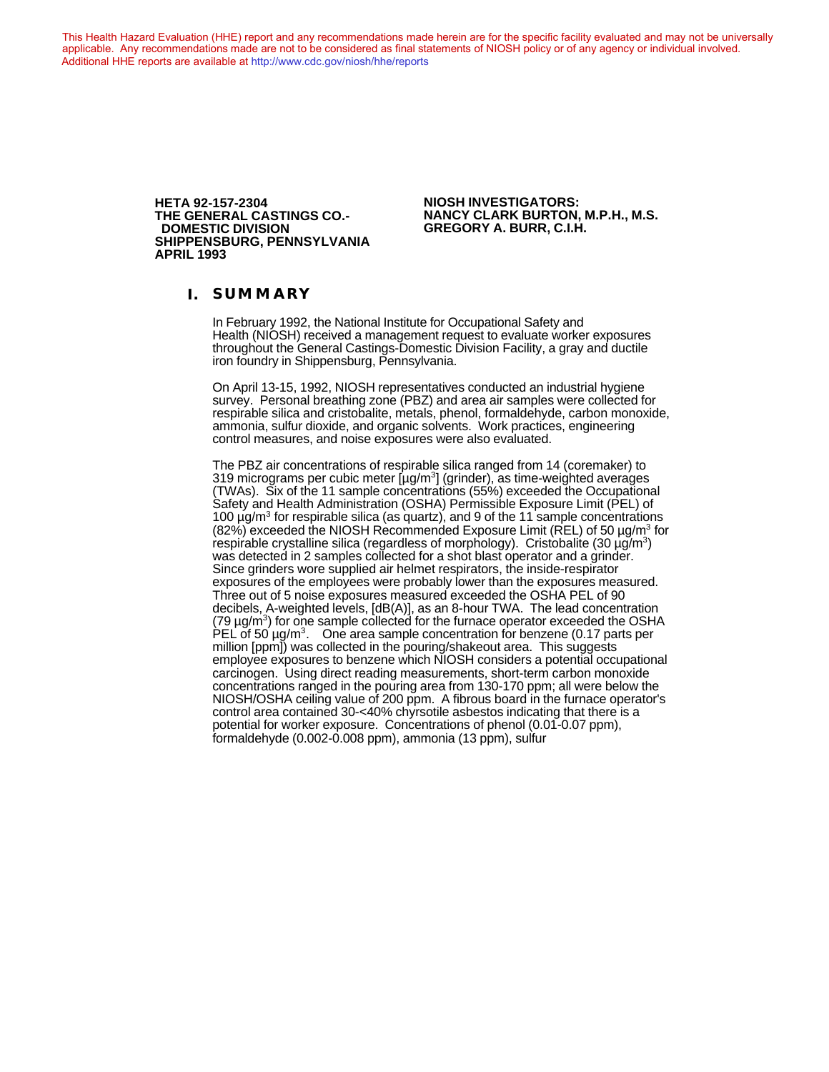This Health Hazard Evaluation (HHE) report and any recommendations made herein are for the specific facility evaluated and may not be universally applicable. Any recommendations made are not to be considered as final statements of NIOSH policy or of any agency or individual involved. Additional HHE reports are available at <http://www.cdc.gov/niosh/hhe/reports> Additional HHE reports are available at <http://www.cdc.gov/niosh/hhe/reports>

> **THE GENERAL CASTINGS CO.-**<br>DOMESTIC DIVISION **SHIPPENSBURG, PENNSYLVANIA APRIL 1993**

**HETA 92-157-2304 NIOSH INVESTIGATORS: DOMESTIC DIVISION GREGORY A. BURR, C.I.H.**

#### **I. SUMMARY**

In February 1992, the National Institute for Occupational Safety and Health (NIOSH) received a management request to evaluate worker exposures throughout the General Castings-Domestic Division Facility, a gray and ductile iron foundry in Shippensburg, Pennsylvania.

On April 13-15, 1992, NIOSH representatives conducted an industrial hygiene survey. Personal breathing zone (PBZ) and area air samples were collected for respirable silica and cristobalite, metals, phenol, formaldehyde, carbon monoxide, ammonia, sulfur dioxide, and organic solvents. Work practices, engineering control measures, and noise exposures were also evaluated.

The PBZ air concentrations of respirable silica ranged from 14 (coremaker) to 319 micrograms per cubic meter  $[\mu g/m^3]$  (grinder), as time-weighted averages (TWAs). Six of the 11 sample concentrations (55%) exceeded the Occupational Safety and Health Administration (OSHA) Permissible Exposure Limit (PEL) of 100  $\mu$ g/m<sup>3</sup> for respirable silica (as quartz), and 9 of the 11 sample concentrations  $(82\%)$  exceeded the NIOSH Recommended Exposure Limit (REL) of 50  $\mu$ g/m<sup>3</sup> for respirable crystalline silica (regardless of morphology). Cristobalite (30  $\mu$ g/m<sup>3</sup>) was detected in 2 samples collected for a shot blast operator and a grinder. Since grinders wore supplied air helmet respirators, the inside-respirator exposures of the employees were probably lower than the exposures measured. Three out of 5 noise exposures measured exceeded the OSHA PEL of 90 decibels, A-weighted levels, [dB(A)], as an 8-hour TWA. The lead concentration  $(79 \,\mu\text{g/m}^3)$  for one sample collected for the furnace operator exceeded the OSHA PEL of 50  $\mu$ g/m<sup>3</sup>. One area sample concentration for benzene (0.17 parts per million [ppm]) was collected in the pouring/shakeout area. This suggests employee exposures to benzene which NIOSH considers a potential occupational carcinogen. Using direct reading measurements, short-term carbon monoxide concentrations ranged in the pouring area from 130-170 ppm; all were below the NIOSH/OSHA ceiling value of 200 ppm. A fibrous board in the furnace operator's control area contained 30-<40% chyrsotile asbestos indicating that there is a potential for worker exposure. Concentrations of phenol (0.01-0.07 ppm), formaldehyde (0.002-0.008 ppm), ammonia (13 ppm), sulfur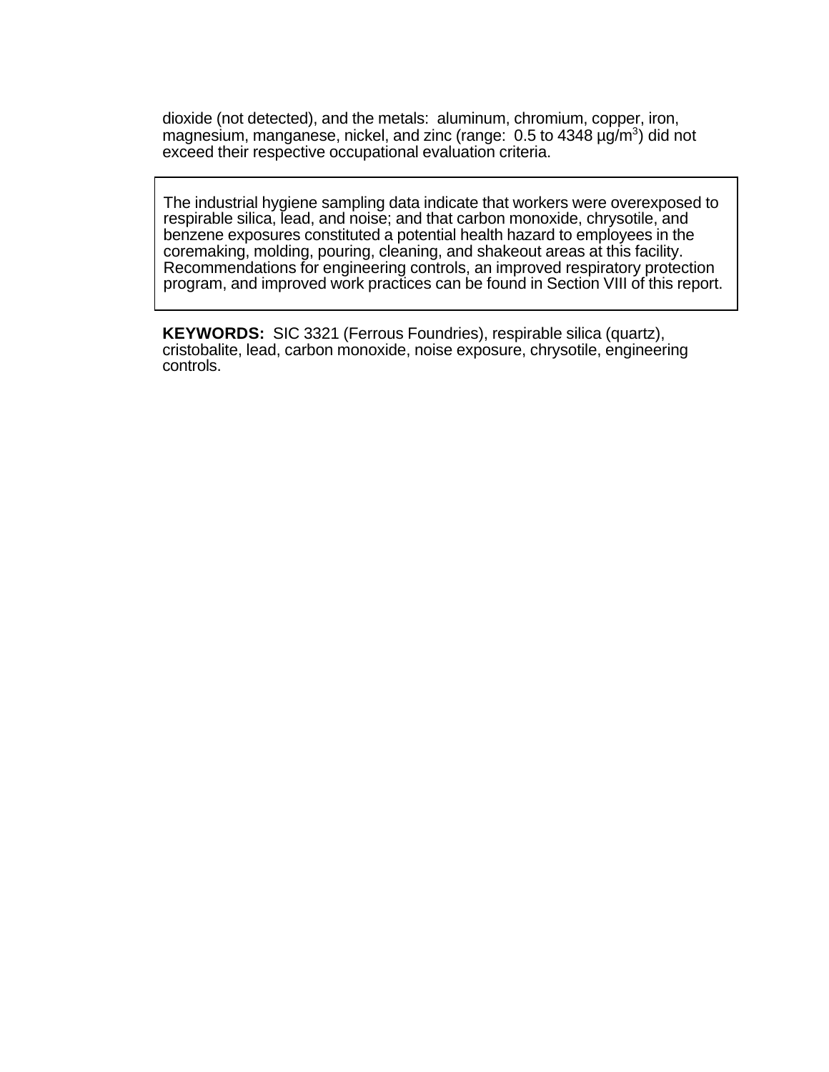dioxide (not detected), and the metals: aluminum, chromium, copper, iron, magnesium, manganese, nickel, and zinc (range: 0.5 to 4348 µg/m<sup>3</sup>) did not exceed their respective occupational evaluation criteria.

The industrial hygiene sampling data indicate that workers were overexposed to respirable silica, lead, and noise; and that carbon monoxide, chrysotile, and benzene exposures constituted a potential health hazard to employees in the coremaking, molding, pouring, cleaning, and shakeout areas at this facility. Recommendations for engineering controls, an improved respiratory protection program, and improved work practices can be found in Section VIII of this report.

**KEYWORDS:** SIC 3321 (Ferrous Foundries), respirable silica (quartz), cristobalite, lead, carbon monoxide, noise exposure, chrysotile, engineering controls.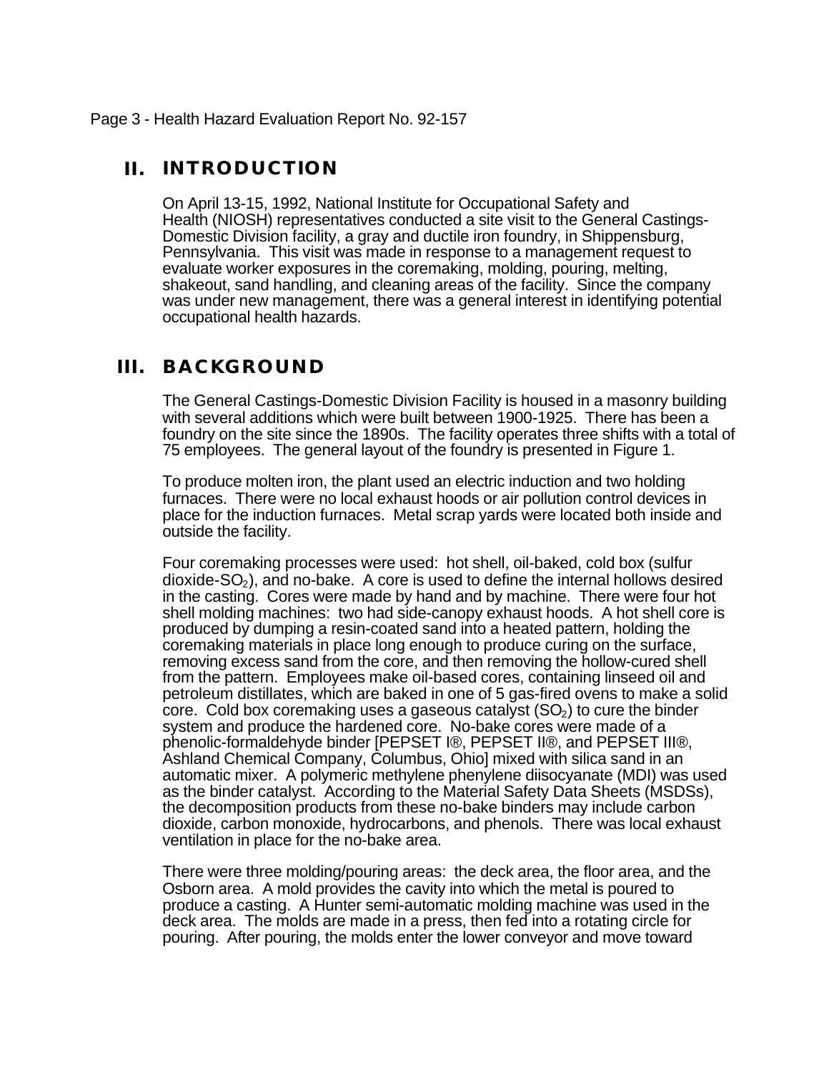# **II. INTRODUCTION**

On April 13-15, 1992, National Institute for Occupational Safety and Health (NIOSH) representatives conducted a site visit to the General Castings-Domestic Division facility, a gray and ductile iron foundry, in Shippensburg, Pennsylvania. This visit was made in response to a management request to evaluate worker exposures in the coremaking, molding, pouring, melting, shakeout, sand handling, and cleaning areas of the facility. Since the company was under new management, there was a general interest in identifying potential occupational health hazards.

# **III. BACKGROUND**

The General Castings-Domestic Division Facility is housed in a masonry building with several additions which were built between 1900-1925. There has been a foundry on the site since the 1890s. The facility operates three shifts with a total of 75 employees. The general layout of the foundry is presented in Figure 1.

To produce molten iron, the plant used an electric induction and two holding furnaces. There were no local exhaust hoods or air pollution control devices in place for the induction furnaces. Metal scrap yards were located both inside and outside the facility.

Four coremaking processes were used: hot shell, oil-baked, cold box (sulfur dioxide- $SO<sub>2</sub>$ ), and no-bake. A core is used to define the internal hollows desired in the casting. Cores were made by hand and by machine. There were four hot shell molding machines: two had side-canopy exhaust hoods. A hot shell core is produced by dumping a resin-coated sand into a heated pattern, holding the coremaking materials in place long enough to produce curing on the surface, removing excess sand from the core, and then removing the hollow-cured shell from the pattern. Employees make oil-based cores, containing linseed oil and petroleum distillates, which are baked in one of 5 gas-fired ovens to make a solid core. Cold box coremaking uses a gaseous catalyst  $(SO<sub>2</sub>)$  to cure the binder system and produce the hardened core. No-bake cores were made of a phenolic-formaldehyde binder [PEPSET I®, PEPSET II®, and PEPSET III®, Ashland Chemical Company, Columbus, Ohio] mixed with silica sand in an automatic mixer. A polymeric methylene phenylene diisocyanate (MDI) was used as the binder catalyst. According to the Material Safety Data Sheets (MSDSs), the decomposition products from these no-bake binders may include carbon dioxide, carbon monoxide, hydrocarbons, and phenols. There was local exhaust ventilation in place for the no-bake area.

There were three molding/pouring areas: the deck area, the floor area, and the Osborn area. A mold provides the cavity into which the metal is poured to produce a casting. A Hunter semi-automatic molding machine was used in the deck area. The molds are made in a press, then fed into a rotating circle for pouring. After pouring, the molds enter the lower conveyor and move toward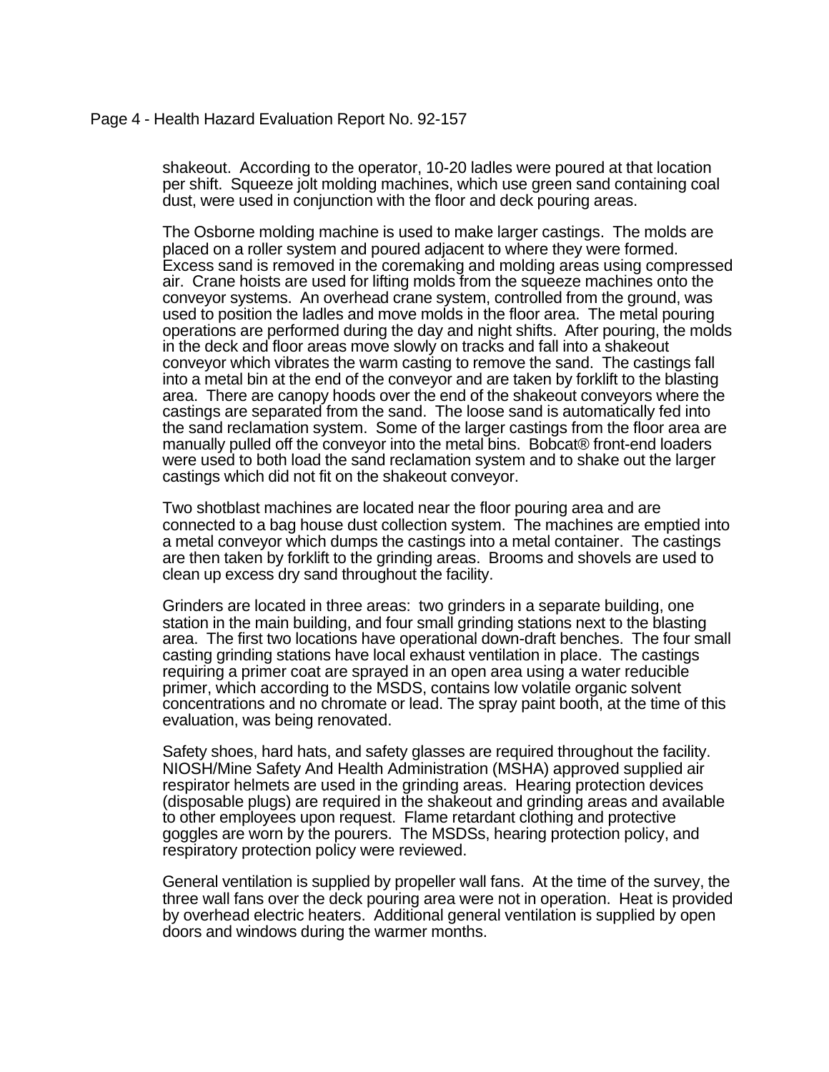### Page 4 - Health Hazard Evaluation Report No. 92-157

shakeout. According to the operator, 10-20 ladles were poured at that location per shift. Squeeze jolt molding machines, which use green sand containing coal dust, were used in conjunction with the floor and deck pouring areas.

The Osborne molding machine is used to make larger castings. The molds are placed on a roller system and poured adjacent to where they were formed. Excess sand is removed in the coremaking and molding areas using compressed air. Crane hoists are used for lifting molds from the squeeze machines onto the conveyor systems. An overhead crane system, controlled from the ground, was used to position the ladles and move molds in the floor area. The metal pouring operations are performed during the day and night shifts. After pouring, the molds in the deck and floor areas move slowly on tracks and fall into a shakeout conveyor which vibrates the warm casting to remove the sand. The castings fall into a metal bin at the end of the conveyor and are taken by forklift to the blasting area. There are canopy hoods over the end of the shakeout conveyors where the castings are separated from the sand. The loose sand is automatically fed into the sand reclamation system. Some of the larger castings from the floor area are manually pulled off the conveyor into the metal bins. Bobcat® front-end loaders were used to both load the sand reclamation system and to shake out the larger castings which did not fit on the shakeout conveyor.

Two shotblast machines are located near the floor pouring area and are connected to a bag house dust collection system. The machines are emptied into a metal conveyor which dumps the castings into a metal container. The castings are then taken by forklift to the grinding areas. Brooms and shovels are used to clean up excess dry sand throughout the facility.

Grinders are located in three areas: two grinders in a separate building, one station in the main building, and four small grinding stations next to the blasting area. The first two locations have operational down-draft benches. The four small casting grinding stations have local exhaust ventilation in place. The castings requiring a primer coat are sprayed in an open area using a water reducible primer, which according to the MSDS, contains low volatile organic solvent concentrations and no chromate or lead. The spray paint booth, at the time of this evaluation, was being renovated.

Safety shoes, hard hats, and safety glasses are required throughout the facility. NIOSH/Mine Safety And Health Administration (MSHA) approved supplied air respirator helmets are used in the grinding areas. Hearing protection devices (disposable plugs) are required in the shakeout and grinding areas and available to other employees upon request. Flame retardant clothing and protective goggles are worn by the pourers. The MSDSs, hearing protection policy, and respiratory protection policy were reviewed.

General ventilation is supplied by propeller wall fans. At the time of the survey, the three wall fans over the deck pouring area were not in operation. Heat is provided by overhead electric heaters. Additional general ventilation is supplied by open doors and windows during the warmer months.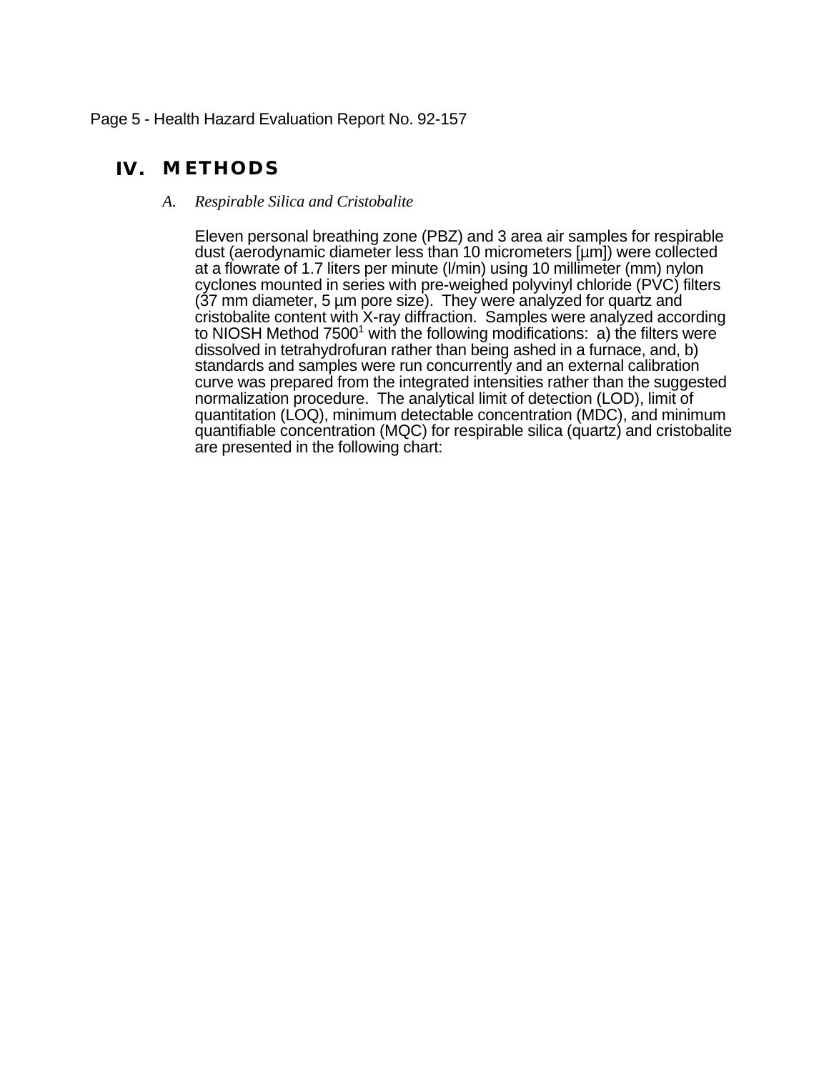## Page 5 - Health Hazard Evaluation Report No. 92-157

# **IV. METHODS**

*A. Respirable Silica and Cristobalite*

Eleven personal breathing zone (PBZ) and 3 area air samples for respirable dust (aerodynamic diameter less than 10 micrometers [µm]) were collected at a flowrate of 1.7 liters per minute (l/min) using 10 millimeter (mm) nylon cyclones mounted in series with pre-weighed polyvinyl chloride (PVC) filters (37 mm diameter, 5 µm pore size). They were analyzed for quartz and cristobalite content with X-ray diffraction. Samples were analyzed according to NIOSH Method 7500<sup>1</sup> with the following modifications:  $a$ ) the filters were dissolved in tetrahydrofuran rather than being ashed in a furnace, and, b) standards and samples were run concurrently and an external calibration curve was prepared from the integrated intensities rather than the suggested normalization procedure. The analytical limit of detection (LOD), limit of quantitation (LOQ), minimum detectable concentration (MDC), and minimum quantifiable concentration (MQC) for respirable silica (quartz) and cristobalite are presented in the following chart: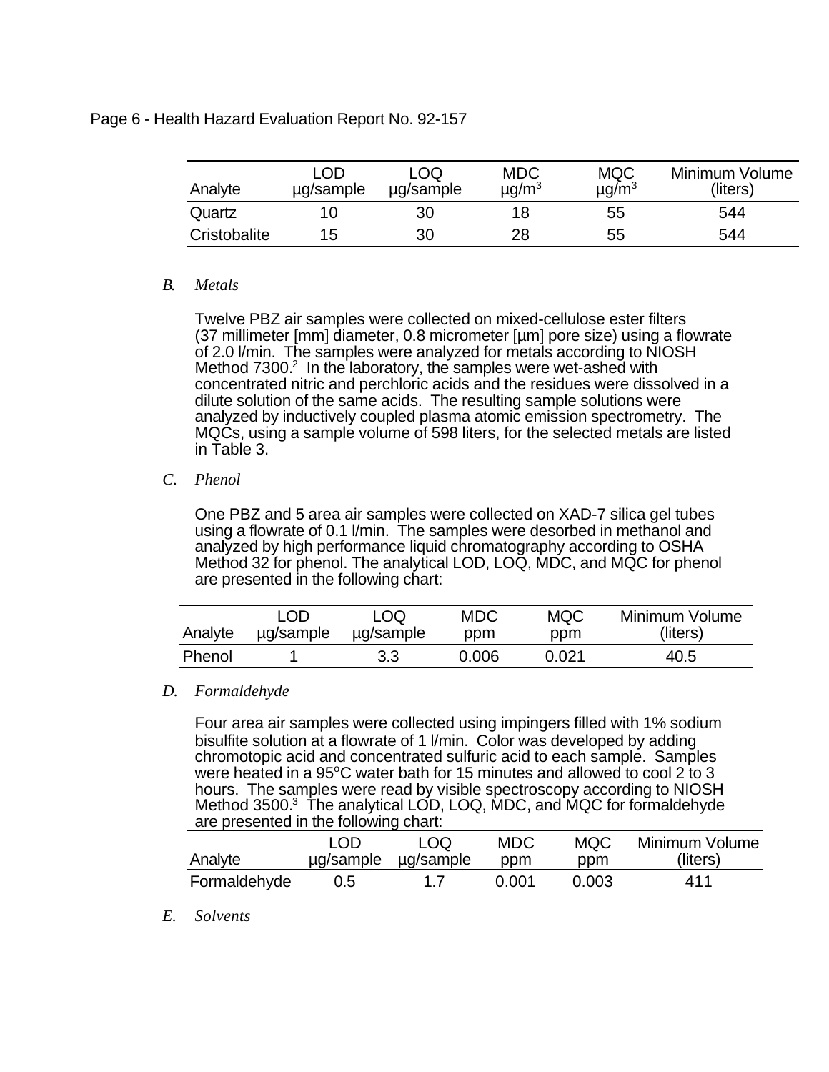## Page 6 - Health Hazard Evaluation Report No. 92-157

| Analyte      | LOD<br>µg/sample | LOQ<br>ug/sample | <b>MDC</b><br>$\mu$ g/m <sup>3</sup> | <b>MQC</b><br>$\mu$ g/m <sup>3</sup> | Minimum Volume<br>(liters) |
|--------------|------------------|------------------|--------------------------------------|--------------------------------------|----------------------------|
| Quartz       |                  | 30               | 18                                   | 55                                   | 544                        |
| Cristobalite | 15               | 30               | 28                                   | 55                                   | 544                        |

## *B. Metals*

Twelve PBZ air samples were collected on mixed-cellulose ester filters (37 millimeter [mm] diameter, 0.8 micrometer [µm] pore size) using a flowrate of 2.0 l/min. The samples were analyzed for metals according to NIOSH Method 7300.<sup>2</sup> In the laboratory, the samples were wet-ashed with concentrated nitric and perchloric acids and the residues were dissolved in a dilute solution of the same acids. The resulting sample solutions were analyzed by inductively coupled plasma atomic emission spectrometry. The MQCs, using a sample volume of 598 liters, for the selected metals are listed in Table 3.

## *C. Phenol*

One PBZ and 5 area air samples were collected on XAD-7 silica gel tubes using a flowrate of 0.1 l/min. The samples were desorbed in methanol and analyzed by high performance liquid chromatography according to OSHA Method 32 for phenol. The analytical LOD, LOQ, MDC, and MQC for phenol are presented in the following chart:

|         | LOD       | LOQ       | MDC   | <b>MQC</b> | Minimum Volume |
|---------|-----------|-----------|-------|------------|----------------|
| Analyte | µg/sample | ug/sample | ppm   | ppm        | (liters)       |
| Phenol  |           | 3.3       | 0.006 | 0.021      | 40.5           |

# *D. Formaldehyde*

Four area air samples were collected using impingers filled with 1% sodium bisulfite solution at a flowrate of 1 l/min. Color was developed by adding chromotopic acid and concentrated sulfuric acid to each sample. Samples were heated in a  $95^{\circ}$ C water bath for 15 minutes and allowed to cool 2 to 3 hours. The samples were read by visible spectroscopy according to NIOSH Method 3500.<sup>3</sup> The analytical LOD, LOQ, MDC, and MQC for formaldehyde are presented in the following chart:

| Analyte      | LOD | LOQ.<br>$\mu$ g/sample $\mu$ g/sample | MDC<br>ppm | <b>MQC</b><br>ppm | Minimum Volume<br>(liters) |
|--------------|-----|---------------------------------------|------------|-------------------|----------------------------|
| Formaldehyde | 0.5 |                                       | 0.001      | 0.003             | 411                        |

*E. Solvents*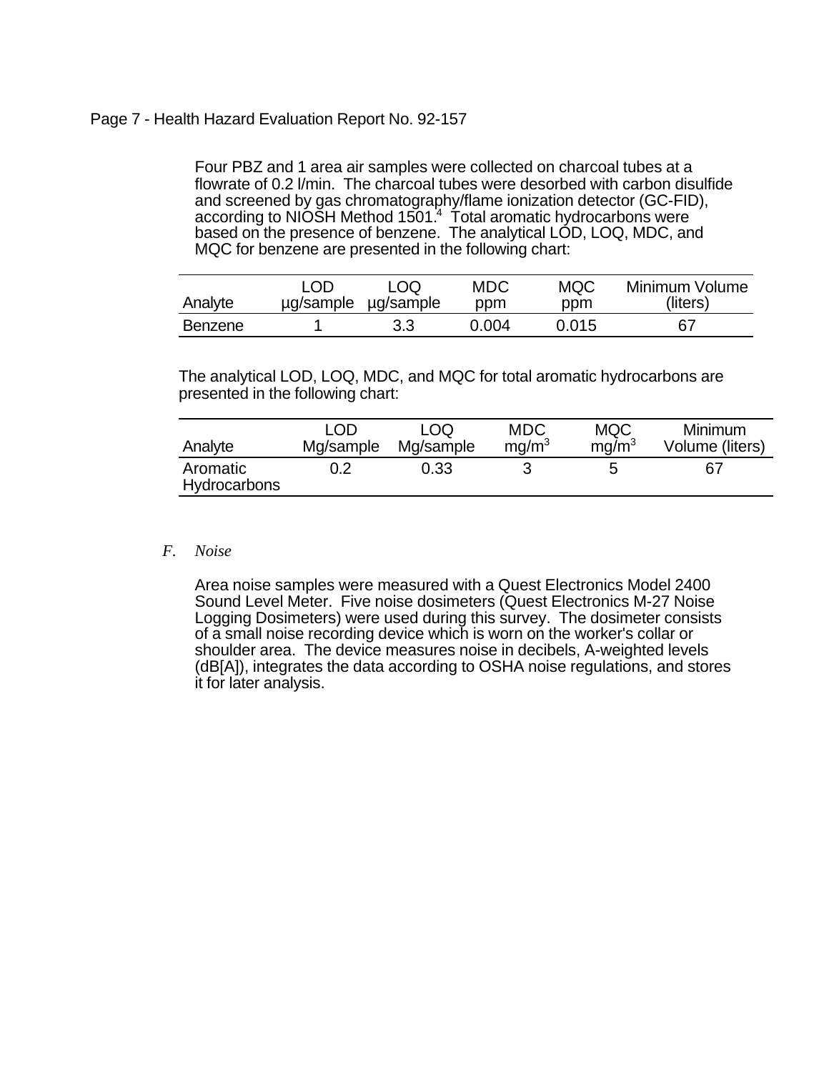# Page 7 - Health Hazard Evaluation Report No. 92-157

Four PBZ and 1 area air samples were collected on charcoal tubes at a flowrate of 0.2 l/min. The charcoal tubes were desorbed with carbon disulfide and screened by gas chromatography/flame ionization detector (GC-FID), according to NIÓŠH Method 1501.<sup>4</sup> Total aromatic hydrocarbons were based on the presence of benzene. The analytical LOD, LOQ, MDC, and MQC for benzene are presented in the following chart:

| Analyte | LOD | LOQ.<br>$\mu$ g/sample $\mu$ g/sample | MDC<br>ppm | <b>MQC</b><br>ppm | Minimum Volume<br>(liters) |
|---------|-----|---------------------------------------|------------|-------------------|----------------------------|
| Benzene |     | 3.3                                   | 0.004      | 0.015             | 67                         |

The analytical LOD, LOQ, MDC, and MQC for total aromatic hydrocarbons are presented in the following chart:

| Analyte                  | LOD       | LOO.      | MDC               | <b>MQC</b>        | <b>Minimum</b>  |
|--------------------------|-----------|-----------|-------------------|-------------------|-----------------|
|                          | Mg/sample | Mg/sample | mq/m <sup>3</sup> | ma/m <sup>3</sup> | Volume (liters) |
| Aromatic<br>Hydrocarbons | 0.2       | 0.33      |                   |                   | 67              |

### *F. Noise*

Area noise samples were measured with a Quest Electronics Model 2400 Sound Level Meter. Five noise dosimeters (Quest Electronics M-27 Noise Logging Dosimeters) were used during this survey. The dosimeter consists of a small noise recording device which is worn on the worker's collar or shoulder area. The device measures noise in decibels, A-weighted levels (dB[A]), integrates the data according to OSHA noise regulations, and stores it for later analysis.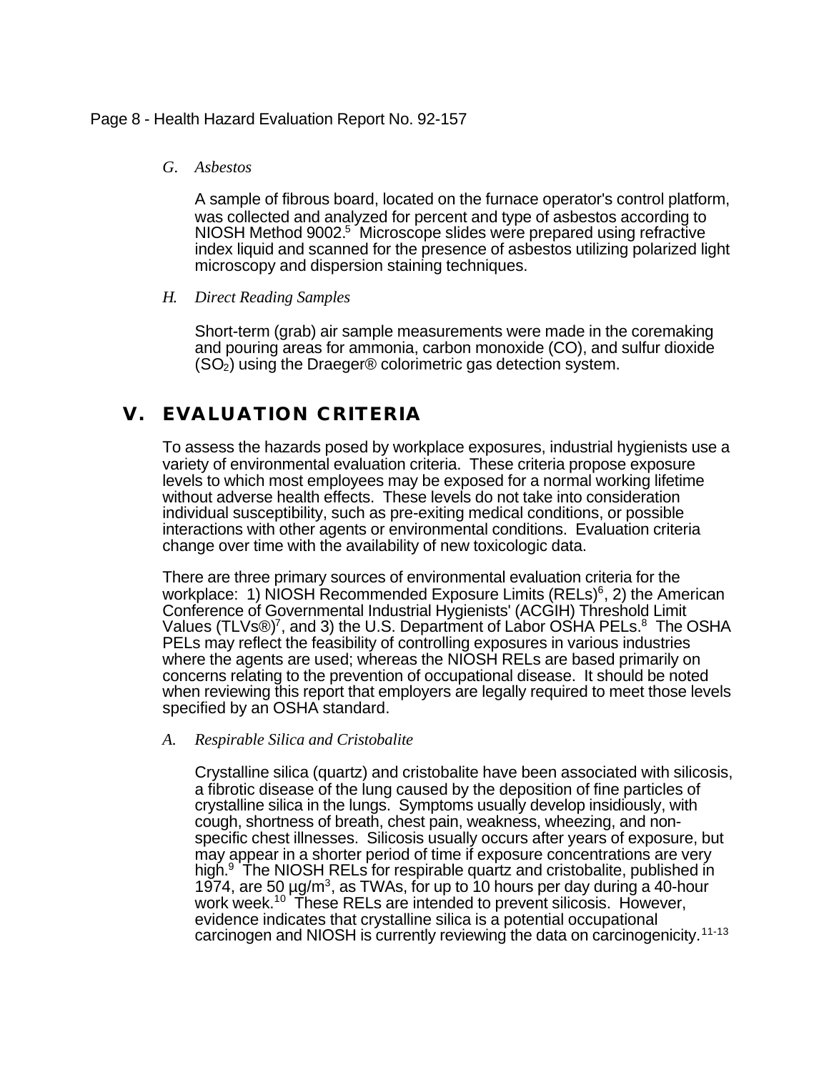### Page 8 - Health Hazard Evaluation Report No. 92-157

### *G. Asbestos*

A sample of fibrous board, located on the furnace operator's control platform, was collected and analyzed for percent and type of asbestos according to NIOSH Method 9002.<sup>5</sup> Microscope slides were prepared using refractive index liquid and scanned for the presence of asbestos utilizing polarized light microscopy and dispersion staining techniques.

### *H. Direct Reading Samples*

Short-term (grab) air sample measurements were made in the coremaking and pouring areas for ammonia, carbon monoxide (CO), and sulfur dioxide  $(SO<sub>2</sub>)$  using the Draeger® colorimetric gas detection system.

# **V. EVALUATION CRITERIA**

To assess the hazards posed by workplace exposures, industrial hygienists use a variety of environmental evaluation criteria. These criteria propose exposure levels to which most employees may be exposed for a normal working lifetime without adverse health effects. These levels do not take into consideration individual susceptibility, such as pre-exiting medical conditions, or possible interactions with other agents or environmental conditions. Evaluation criteria change over time with the availability of new toxicologic data.

There are three primary sources of environmental evaluation criteria for the workplace: 1) NIOSH Recommended Exposure Limits (RELs)<sup>6</sup>, 2) the American Conference of Governmental Industrial Hygienists' (ACGIH) Threshold Limit Values (TLVs®)<sup>7</sup>, and 3) the U.S. Department of Labor OSHA PELs.<sup>8</sup> The OSHA PELs may reflect the feasibility of controlling exposures in various industries where the agents are used; whereas the NIOSH RELs are based primarily on concerns relating to the prevention of occupational disease. It should be noted when reviewing this report that employers are legally required to meet those levels specified by an OSHA standard.

### *A. Respirable Silica and Cristobalite*

Crystalline silica (quartz) and cristobalite have been associated with silicosis, a fibrotic disease of the lung caused by the deposition of fine particles of crystalline silica in the lungs. Symptoms usually develop insidiously, with cough, shortness of breath, chest pain, weakness, wheezing, and nonspecific chest illnesses. Silicosis usually occurs after years of exposure, but may appear in a shorter period of time if exposure concentrations are very high.<sup>9</sup> The NIOSH RELs for respirable quartz and cristobalite, published in 1974, are 50  $\mu$ g/m<sup>3</sup>, as TWAs, for up to 10 hours per day during a 40-hour work week.<sup>10</sup> These RELs are intended to prevent silicosis. However, evidence indicates that crystalline silica is a potential occupational carcinogen and NIOSH is currently reviewing the data on carcinogenicity.<sup>11-13</sup>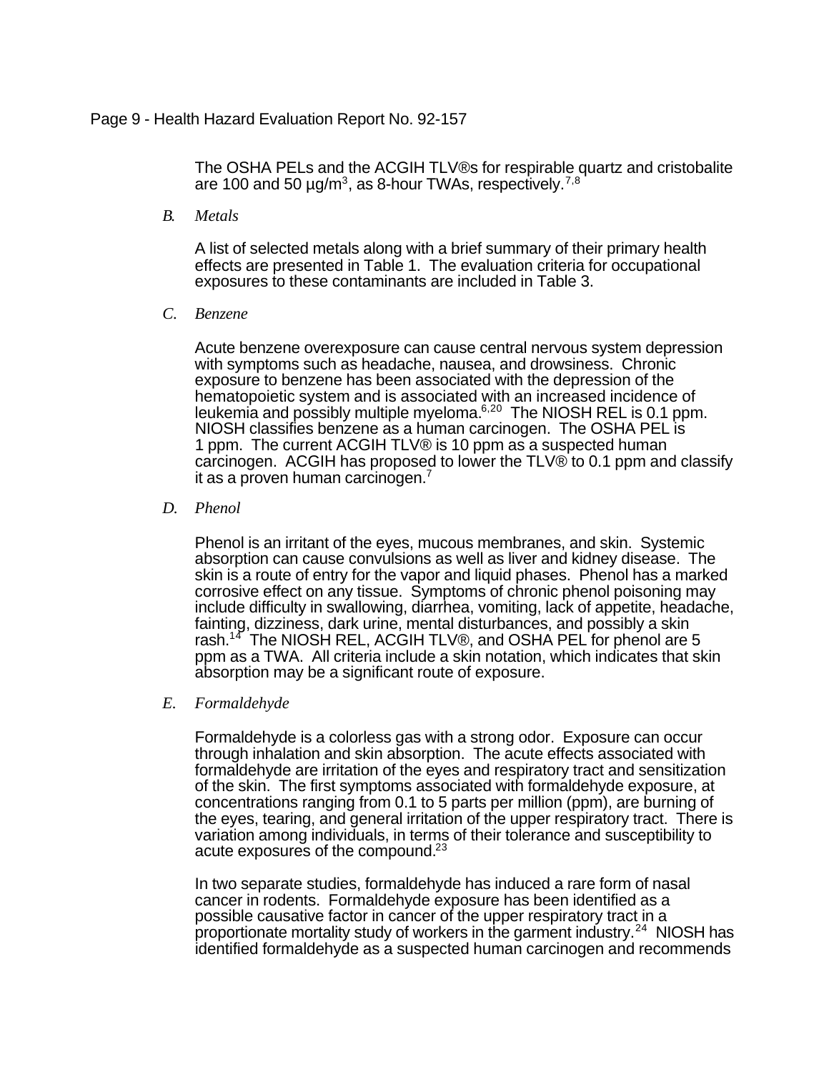### Page 9 - Health Hazard Evaluation Report No. 92-157

The OSHA PELs and the ACGIH TLV®s for respirable quartz and cristobalite are 100 and 50  $\mu$ g/m<sup>3</sup>, as 8-hour TWAs, respectively.<sup>7,8</sup>

*B. Metals*

A list of selected metals along with a brief summary of their primary health effects are presented in Table 1. The evaluation criteria for occupational exposures to these contaminants are included in Table 3.

*C. Benzene*

Acute benzene overexposure can cause central nervous system depression with symptoms such as headache, nausea, and drowsiness. Chronic exposure to benzene has been associated with the depression of the hematopoietic system and is associated with an increased incidence of leukemia and possibly multiple myeloma. $6,20$  The NIOSH REL is 0.1 ppm. NIOSH classifies benzene as a human carcinogen. The OSHA PEL is 1 ppm. The current ACGIH TLV® is 10 ppm as a suspected human carcinogen. ACGIH has proposed to lower the TLV® to 0.1 ppm and classify it as a proven human carcinogen.<sup>7</sup>

### *D. Phenol*

Phenol is an irritant of the eyes, mucous membranes, and skin. Systemic absorption can cause convulsions as well as liver and kidney disease. The skin is a route of entry for the vapor and liquid phases. Phenol has a marked corrosive effect on any tissue. Symptoms of chronic phenol poisoning may include difficulty in swallowing, diarrhea, vomiting, lack of appetite, headache, fainting, dizziness, dark urine, mental disturbances, and possibly a skin rash.<sup>14</sup> The NIOSH REL, ACGIH TLV®, and OSHA PEL for phenol are 5 ppm as a TWA. All criteria include a skin notation, which indicates that skin absorption may be a significant route of exposure.

*E. Formaldehyde*

Formaldehyde is a colorless gas with a strong odor. Exposure can occur through inhalation and skin absorption. The acute effects associated with formaldehyde are irritation of the eyes and respiratory tract and sensitization of the skin. The first symptoms associated with formaldehyde exposure, at concentrations ranging from 0.1 to 5 parts per million (ppm), are burning of the eyes, tearing, and general irritation of the upper respiratory tract. There is variation among individuals, in terms of their tolerance and susceptibility to acute exposures of the compound.<sup>23</sup>

In two separate studies, formaldehyde has induced a rare form of nasal cancer in rodents. Formaldehyde exposure has been identified as a possible causative factor in cancer of the upper respiratory tract in a proportionate mortality study of workers in the garment industry.<sup>24</sup> NIOSH has identified formaldehyde as a suspected human carcinogen and recommends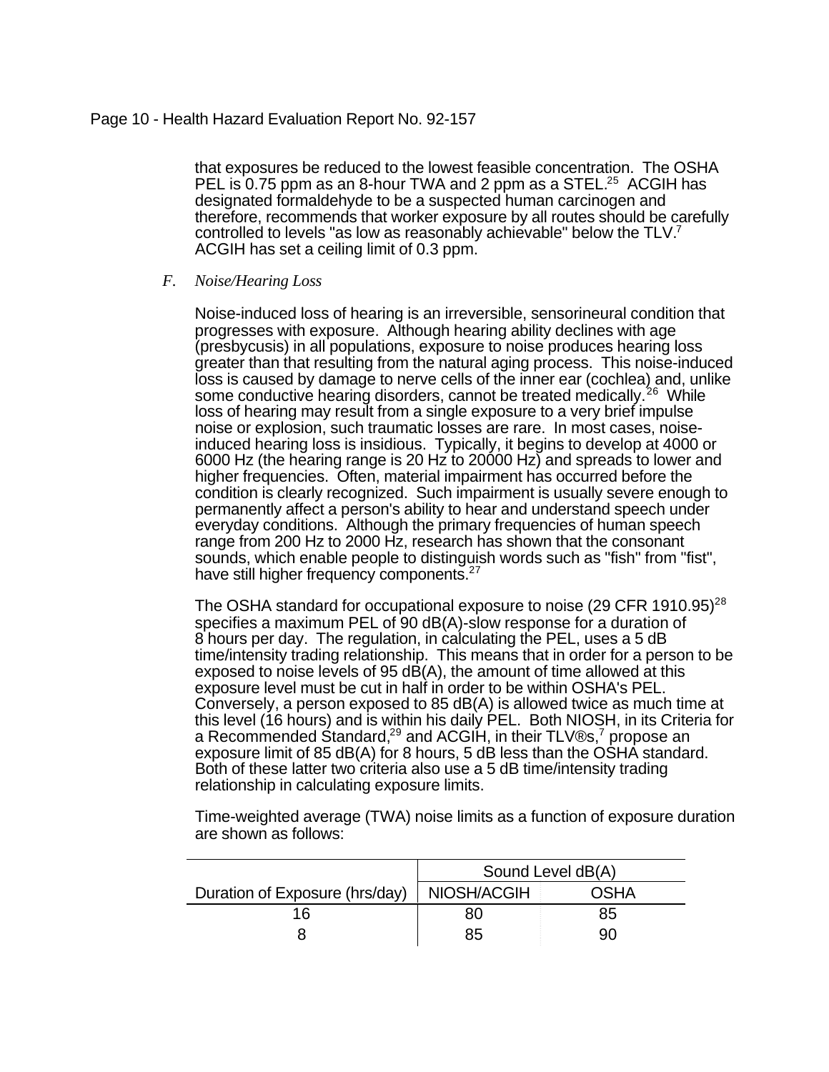### Page 10 - Health Hazard Evaluation Report No. 92-157

that exposures be reduced to the lowest feasible concentration. The OSHA PEL is 0.75 ppm as an 8-hour TWA and 2 ppm as a STEL.<sup>25</sup> ACGIH has designated formaldehyde to be a suspected human carcinogen and therefore, recommends that worker exposure by all routes should be carefully controlled to levels "as low as reasonably achievable" below the TLV.<sup>7</sup> ACGIH has set a ceiling limit of 0.3 ppm.

### *F. Noise/Hearing Loss*

Noise-induced loss of hearing is an irreversible, sensorineural condition that progresses with exposure. Although hearing ability declines with age (presbycusis) in all populations, exposure to noise produces hearing loss greater than that resulting from the natural aging process. This noise-induced loss is caused by damage to nerve cells of the inner ear (cochlea) and, unlike some conductive hearing disorders, cannot be treated medically.<sup>26</sup> While loss of hearing may result from a single exposure to a very brief impulse noise or explosion, such traumatic losses are rare. In most cases, noiseinduced hearing loss is insidious. Typically, it begins to develop at 4000 or 6000 Hz (the hearing range is 20 Hz to 20000 Hz) and spreads to lower and higher frequencies. Often, material impairment has occurred before the condition is clearly recognized. Such impairment is usually severe enough to permanently affect a person's ability to hear and understand speech under everyday conditions. Although the primary frequencies of human speech range from 200 Hz to 2000 Hz, research has shown that the consonant sounds, which enable people to distinguish words such as "fish" from "fist", have still higher frequency components.<sup>27</sup>

The OSHA standard for occupational exposure to noise (29 CFR 1910.95)<sup>28</sup> specifies a maximum PEL of 90 dB(A)-slow response for a duration of 8 hours per day. The regulation, in calculating the PEL, uses a 5 dB time/intensity trading relationship. This means that in order for a person to be exposed to noise levels of 95 dB(A), the amount of time allowed at this exposure level must be cut in half in order to be within OSHA's PEL. Conversely, a person exposed to 85 dB(A) is allowed twice as much time at this level (16 hours) and is within his daily PEL. Both NIOSH, in its Criteria for a Recommended Śtandard,<sup>29</sup> and ACGIH, in their TLV®s,<sup>7</sup> propose an exposure limit of 85 dB(A) for 8 hours, 5 dB less than the OSHA standard. Both of these latter two criteria also use a 5 dB time/intensity trading relationship in calculating exposure limits.

|                                |             | Sound Level dB(A) |
|--------------------------------|-------------|-------------------|
| Duration of Exposure (hrs/day) | NIOSH/ACGIH | OSHA              |
| 16                             | 80          | 85                |
|                                | 85          | 90                |

Time-weighted average (TWA) noise limits as a function of exposure duration are shown as follows: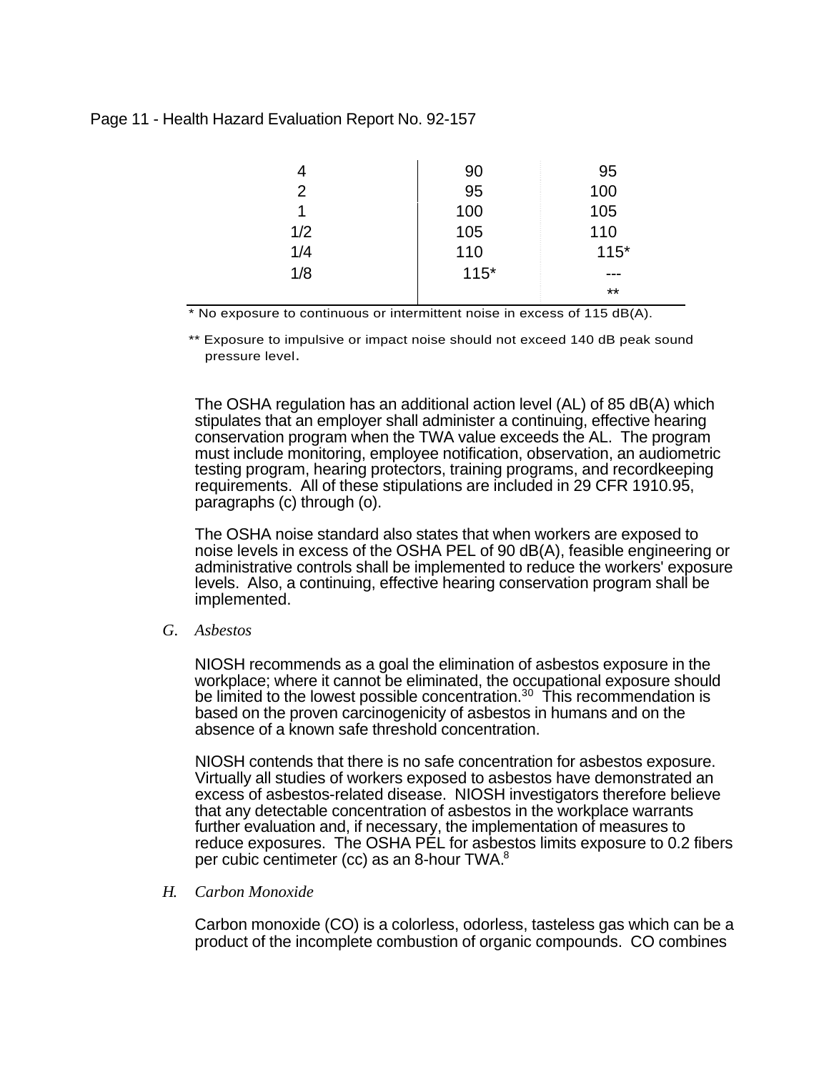### Page 11 - Health Hazard Evaluation Report No. 92-157

|     | 90     | 95     |
|-----|--------|--------|
| 2   | 95     | 100    |
| 1   | 100    | 105    |
| 1/2 | 105    | 110    |
| 1/4 | 110    | $115*$ |
| 1/8 | $115*$ | ---    |
|     |        | $***$  |

\* No exposure to continuous or intermittent noise in excess of 115 dB(A).

\*\* Exposure to impulsive or impact noise should not exceed 140 dB peak sound pressure level.

The OSHA regulation has an additional action level (AL) of 85 dB(A) which stipulates that an employer shall administer a continuing, effective hearing conservation program when the TWA value exceeds the AL. The program must include monitoring, employee notification, observation, an audiometric testing program, hearing protectors, training programs, and recordkeeping requirements. All of these stipulations are included in 29 CFR 1910.95, paragraphs (c) through (o).

The OSHA noise standard also states that when workers are exposed to noise levels in excess of the OSHA PEL of 90 dB(A), feasible engineering or administrative controls shall be implemented to reduce the workers' exposure levels. Also, a continuing, effective hearing conservation program shall be implemented.

*G. Asbestos*

NIOSH recommends as a goal the elimination of asbestos exposure in the workplace; where it cannot be eliminated, the occupational exposure should be limited to the lowest possible concentration.<sup>30</sup> This recommendation is based on the proven carcinogenicity of asbestos in humans and on the absence of a known safe threshold concentration.

NIOSH contends that there is no safe concentration for asbestos exposure. Virtually all studies of workers exposed to asbestos have demonstrated an excess of asbestos-related disease. NIOSH investigators therefore believe that any detectable concentration of asbestos in the workplace warrants further evaluation and, if necessary, the implementation of measures to reduce exposures. The OSHA PEL for asbestos limits exposure to 0.2 fibers per cubic centimeter (cc) as an 8-hour TWA.<sup>8</sup>

*H. Carbon Monoxide*

Carbon monoxide (CO) is a colorless, odorless, tasteless gas which can be a product of the incomplete combustion of organic compounds. CO combines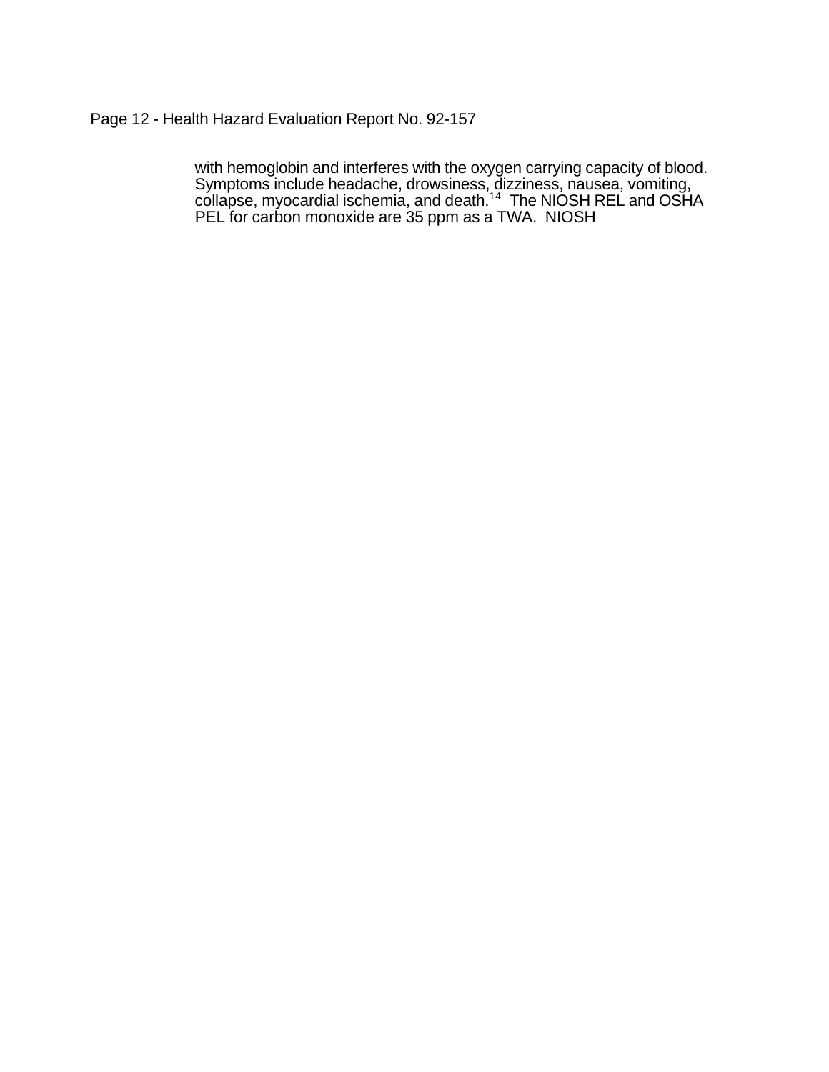## Page 12 - Health Hazard Evaluation Report No. 92-157

with hemoglobin and interferes with the oxygen carrying capacity of blood. Symptoms include headache, drowsiness, dizziness, nausea, vomiting, collapse, myocardial ischemia, and death.<sup>14</sup> The NIOSH REL and OSHA PEL for carbon monoxide are 35 ppm as a TWA. NIOSH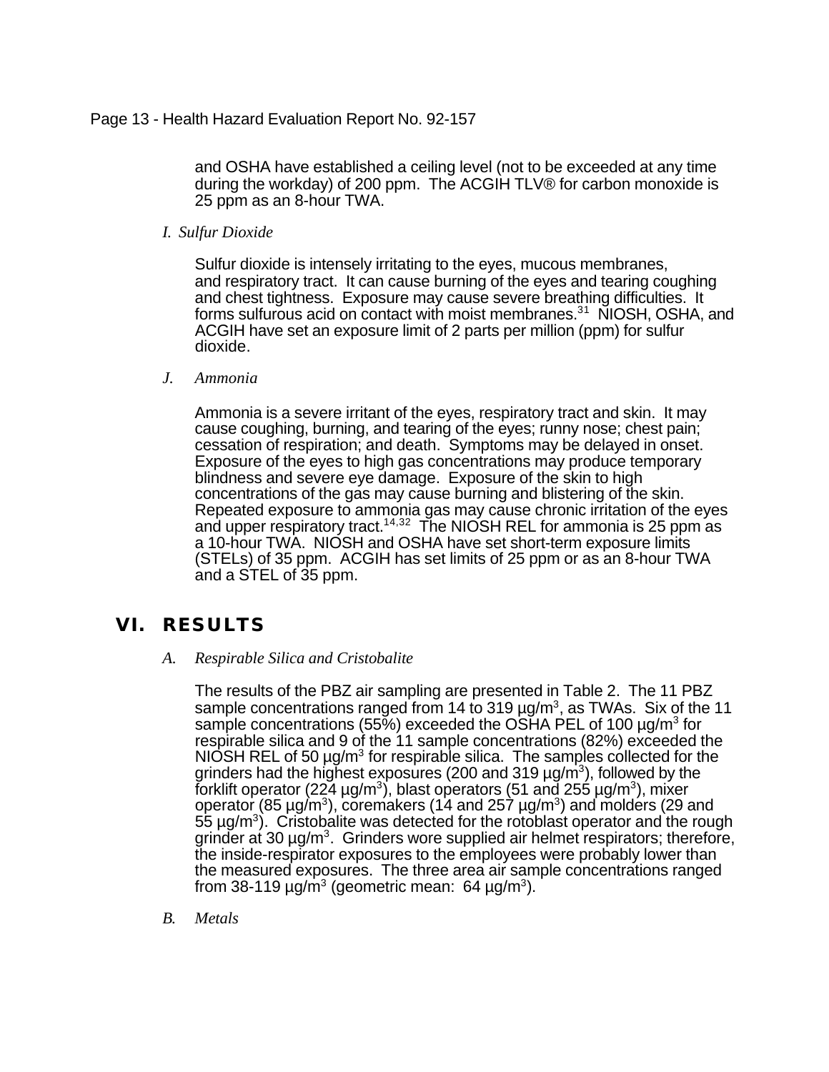and OSHA have established a ceiling level (not to be exceeded at any time during the workday) of 200 ppm. The ACGIH TLV® for carbon monoxide is 25 ppm as an 8-hour TWA.

*I. Sulfur Dioxide*

Sulfur dioxide is intensely irritating to the eyes, mucous membranes, and respiratory tract. It can cause burning of the eyes and tearing coughing and chest tightness. Exposure may cause severe breathing difficulties. It forms sulfurous acid on contact with moist membranes.<sup>31</sup> NIOSH, OSHA, and ACGIH have set an exposure limit of 2 parts per million (ppm) for sulfur dioxide.

## *J. Ammonia*

Ammonia is a severe irritant of the eyes, respiratory tract and skin. It may cause coughing, burning, and tearing of the eyes; runny nose; chest pain; cessation of respiration; and death. Symptoms may be delayed in onset. Exposure of the eyes to high gas concentrations may produce temporary blindness and severe eye damage. Exposure of the skin to high concentrations of the gas may cause burning and blistering of the skin. Repeated exposure to ammonia gas may cause chronic irritation of the eyes and upper respiratory tract.<sup>14,32</sup> The NIOSH REL for ammonia is 25 ppm as a 10-hour TWA. NIOSH and OSHA have set short-term exposure limits (STELs) of 35 ppm. ACGIH has set limits of 25 ppm or as an 8-hour TWA and a STEL of 35 ppm.

# **VI. RESULTS**

*A. Respirable Silica and Cristobalite*

The results of the PBZ air sampling are presented in Table 2. The 11 PBZ sample concentrations ranged from 14 to 319  $\mu$ g/m<sup>3</sup>, as TWAs. Six of the 11 sample concentrations (55%) exceeded the OSHA PEL of 100  $\mu$ g/m $^3$  for respirable silica and 9 of the 11 sample concentrations (82%) exceeded the NIOSH REL of 50  $\mu$ g/m<sup>3</sup> for respirable silica. The samples collected for the grinders had the highest exposures (200 and 319  $\mu$ g/m $^3$ ), followed by the forklift operator (224 µg/m $^3$ ), blast operators (51 and 255 µg/m $^3$ ), mixer operator (85 μg/m<sup>3</sup>), coremakers (14 and 257 μg/m<sup>3</sup>) and molders (29 and  $55 \,\mu$ g/m<sup>3</sup>). Cristobalite was detected for the rotoblast operator and the rough grinder at 30 µg/m<sup>3</sup>. Grinders wore supplied air helmet respirators; therefore, the inside-respirator exposures to the employees were probably lower than the measured exposures. The three area air sample concentrations ranged from 38-119  $\mu$ g/m $3$  (geometric mean: 64  $\mu$ g/m $3$ ).

*B. Metals*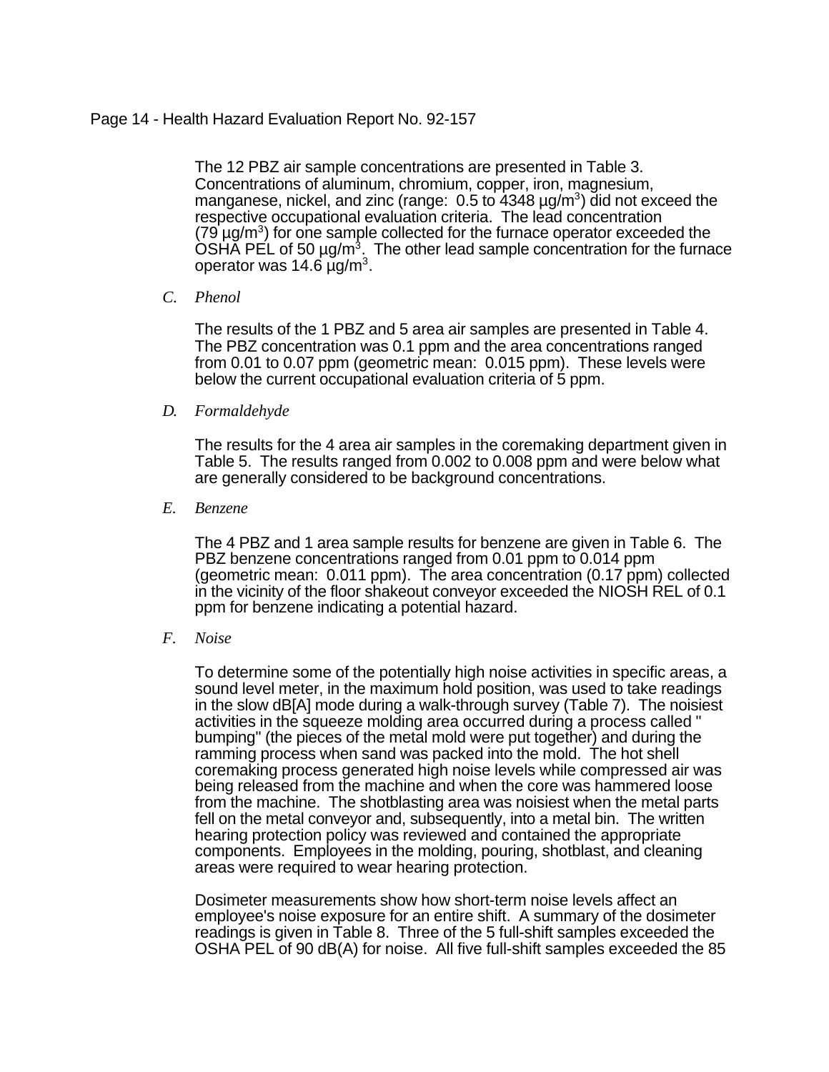### Page 14 - Health Hazard Evaluation Report No. 92-157

The 12 PBZ air sample concentrations are presented in Table 3. Concentrations of aluminum, chromium, copper, iron, magnesium, manganese, nickel, and zinc (range: 0.5 to 4348 µg/m<sup>3</sup>) did not exceed the respective occupational evaluation criteria. The lead concentration  $(79 \,\mu g/m^3)$  for one sample collected for the furnace operator exceeded the  $\overline{\text{OSH}}$ Ă PEL of 50 µg/m<sup>3</sup>. The other lead sample concentration for the furnace operator was 14.6  $\mu$ g/m $^3$ .

### *C. Phenol*

The results of the 1 PBZ and 5 area air samples are presented in Table 4. The PBZ concentration was 0.1 ppm and the area concentrations ranged from 0.01 to 0.07 ppm (geometric mean: 0.015 ppm). These levels were below the current occupational evaluation criteria of 5 ppm.

### *D. Formaldehyde*

The results for the 4 area air samples in the coremaking department given in Table 5. The results ranged from 0.002 to 0.008 ppm and were below what are generally considered to be background concentrations.

### *E. Benzene*

The 4 PBZ and 1 area sample results for benzene are given in Table 6. The PBZ benzene concentrations ranged from 0.01 ppm to 0.014 ppm (geometric mean: 0.011 ppm). The area concentration (0.17 ppm) collected in the vicinity of the floor shakeout conveyor exceeded the NIOSH REL of 0.1 ppm for benzene indicating a potential hazard.

### *F. Noise*

To determine some of the potentially high noise activities in specific areas, a sound level meter, in the maximum hold position, was used to take readings in the slow dB[A] mode during a walk-through survey (Table 7). The noisiest activities in the squeeze molding area occurred during a process called " bumping" (the pieces of the metal mold were put together) and during the ramming process when sand was packed into the mold. The hot shell coremaking process generated high noise levels while compressed air was being released from the machine and when the core was hammered loose from the machine. The shotblasting area was noisiest when the metal parts fell on the metal conveyor and, subsequently, into a metal bin. The written hearing protection policy was reviewed and contained the appropriate components. Employees in the molding, pouring, shotblast, and cleaning areas were required to wear hearing protection.

Dosimeter measurements show how short-term noise levels affect an employee's noise exposure for an entire shift. A summary of the dosimeter readings is given in Table 8. Three of the 5 full-shift samples exceeded the OSHA PEL of 90 dB(A) for noise. All five full-shift samples exceeded the 85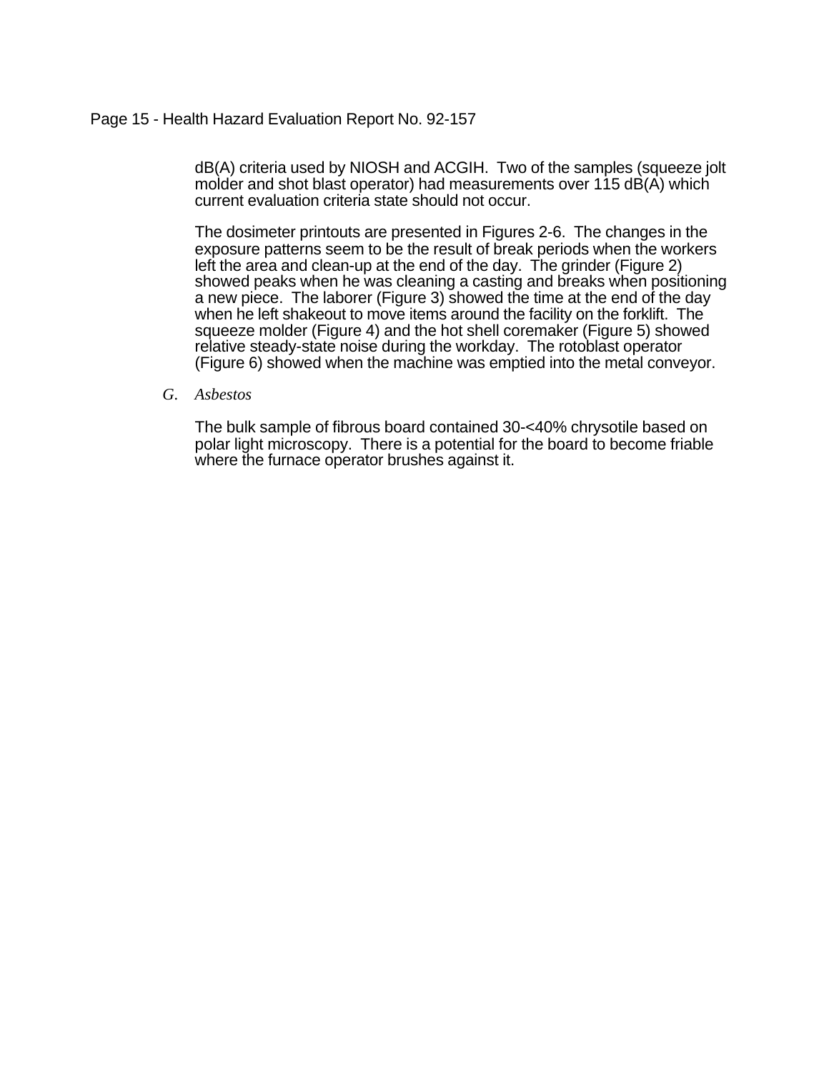### Page 15 - Health Hazard Evaluation Report No. 92-157

dB(A) criteria used by NIOSH and ACGIH. Two of the samples (squeeze jolt molder and shot blast operator) had measurements over 115 dB(A) which current evaluation criteria state should not occur.

The dosimeter printouts are presented in Figures 2-6. The changes in the exposure patterns seem to be the result of break periods when the workers left the area and clean-up at the end of the day. The grinder (Figure 2) showed peaks when he was cleaning a casting and breaks when positioning a new piece. The laborer (Figure 3) showed the time at the end of the day when he left shakeout to move items around the facility on the forklift. The squeeze molder (Figure 4) and the hot shell coremaker (Figure 5) showed relative steady-state noise during the workday. The rotoblast operator (Figure 6) showed when the machine was emptied into the metal conveyor.

#### *G. Asbestos*

The bulk sample of fibrous board contained 30-<40% chrysotile based on polar light microscopy. There is a potential for the board to become friable where the furnace operator brushes against it.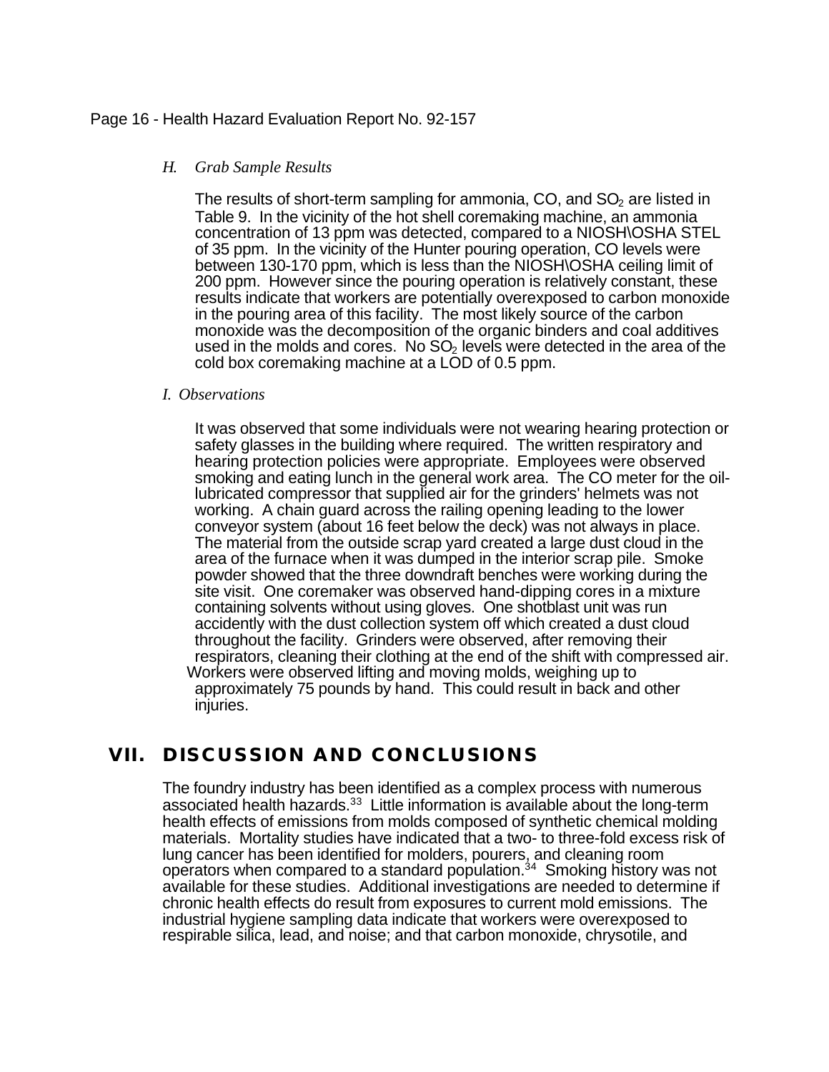### Page 16 - Health Hazard Evaluation Report No. 92-157

### *H. Grab Sample Results*

The results of short-term sampling for ammonia,  $CO$ , and  $SO<sub>2</sub>$  are listed in Table 9. In the vicinity of the hot shell coremaking machine, an ammonia concentration of 13 ppm was detected, compared to a NIOSH\OSHA STEL of 35 ppm. In the vicinity of the Hunter pouring operation, CO levels were between 130-170 ppm, which is less than the NIOSH\OSHA ceiling limit of 200 ppm. However since the pouring operation is relatively constant, these results indicate that workers are potentially overexposed to carbon monoxide in the pouring area of this facility. The most likely source of the carbon monoxide was the decomposition of the organic binders and coal additives used in the molds and cores. No  $SO<sub>2</sub>$  levels were detected in the area of the cold box coremaking machine at a LOD of 0.5 ppm.

### *I. Observations*

It was observed that some individuals were not wearing hearing protection or safety glasses in the building where required. The written respiratory and hearing protection policies were appropriate. Employees were observed smoking and eating lunch in the general work area. The CO meter for the oillubricated compressor that supplied air for the grinders' helmets was not working. A chain guard across the railing opening leading to the lower conveyor system (about 16 feet below the deck) was not always in place. The material from the outside scrap yard created a large dust cloud in the area of the furnace when it was dumped in the interior scrap pile. Smoke powder showed that the three downdraft benches were working during the site visit. One coremaker was observed hand-dipping cores in a mixture containing solvents without using gloves. One shotblast unit was run accidently with the dust collection system off which created a dust cloud throughout the facility. Grinders were observed, after removing their respirators, cleaning their clothing at the end of the shift with compressed air. Workers were observed lifting and moving molds, weighing up to approximately 75 pounds by hand. This could result in back and other injuries.

# **VII. DISCUSSION AND CONCLUSIONS**

The foundry industry has been identified as a complex process with numerous associated health hazards. $33$  Little information is available about the long-term health effects of emissions from molds composed of synthetic chemical molding materials. Mortality studies have indicated that a two- to three-fold excess risk of lung cancer has been identified for molders, pourers, and cleaning room operators when compared to a standard population.<sup>34</sup> Smoking history was not available for these studies. Additional investigations are needed to determine if chronic health effects do result from exposures to current mold emissions. The industrial hygiene sampling data indicate that workers were overexposed to respirable silica, lead, and noise; and that carbon monoxide, chrysotile, and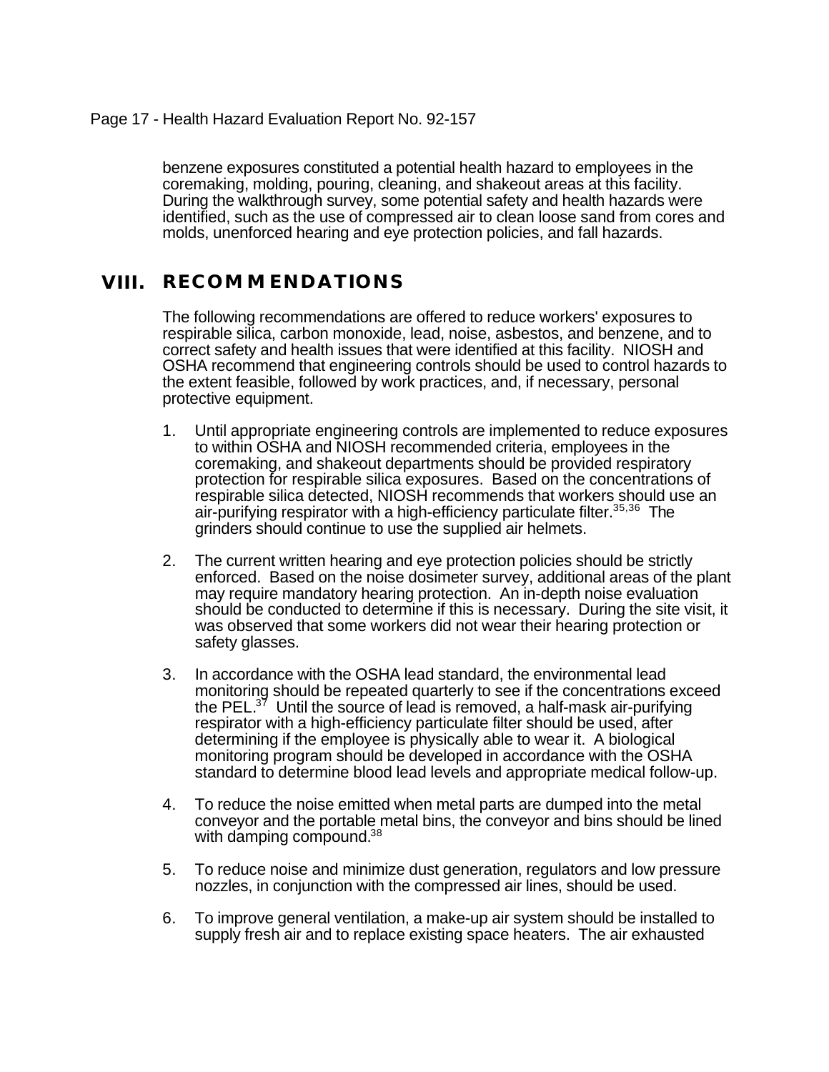benzene exposures constituted a potential health hazard to employees in the coremaking, molding, pouring, cleaning, and shakeout areas at this facility. During the walkthrough survey, some potential safety and health hazards were identified, such as the use of compressed air to clean loose sand from cores and molds, unenforced hearing and eye protection policies, and fall hazards.

# **VIII. RECOMMENDATIONS**

The following recommendations are offered to reduce workers' exposures to respirable silica, carbon monoxide, lead, noise, asbestos, and benzene, and to correct safety and health issues that were identified at this facility. NIOSH and OSHA recommend that engineering controls should be used to control hazards to the extent feasible, followed by work practices, and, if necessary, personal protective equipment.

- 1. Until appropriate engineering controls are implemented to reduce exposures to within OSHA and NIOSH recommended criteria, employees in the coremaking, and shakeout departments should be provided respiratory protection for respirable silica exposures. Based on the concentrations of respirable silica detected, NIOSH recommends that workers should use an air-purifying respirator with a high-efficiency particulate filter.<sup>35,36</sup> The grinders should continue to use the supplied air helmets.
- 2. The current written hearing and eye protection policies should be strictly enforced. Based on the noise dosimeter survey, additional areas of the plant may require mandatory hearing protection. An in-depth noise evaluation should be conducted to determine if this is necessary. During the site visit, it was observed that some workers did not wear their hearing protection or safety glasses.
- 3. In accordance with the OSHA lead standard, the environmental lead monitoring should be repeated quarterly to see if the concentrations exceed the PEL.<sup>37</sup> Until the source of lead is removed, a half-mask air-purifying respirator with a high-efficiency particulate filter should be used, after determining if the employee is physically able to wear it. A biological monitoring program should be developed in accordance with the OSHA standard to determine blood lead levels and appropriate medical follow-up.
- 4. To reduce the noise emitted when metal parts are dumped into the metal conveyor and the portable metal bins, the conveyor and bins should be lined with damping compound.<sup>38</sup>
- 5. To reduce noise and minimize dust generation, regulators and low pressure nozzles, in conjunction with the compressed air lines, should be used.
- 6. To improve general ventilation, a make-up air system should be installed to supply fresh air and to replace existing space heaters. The air exhausted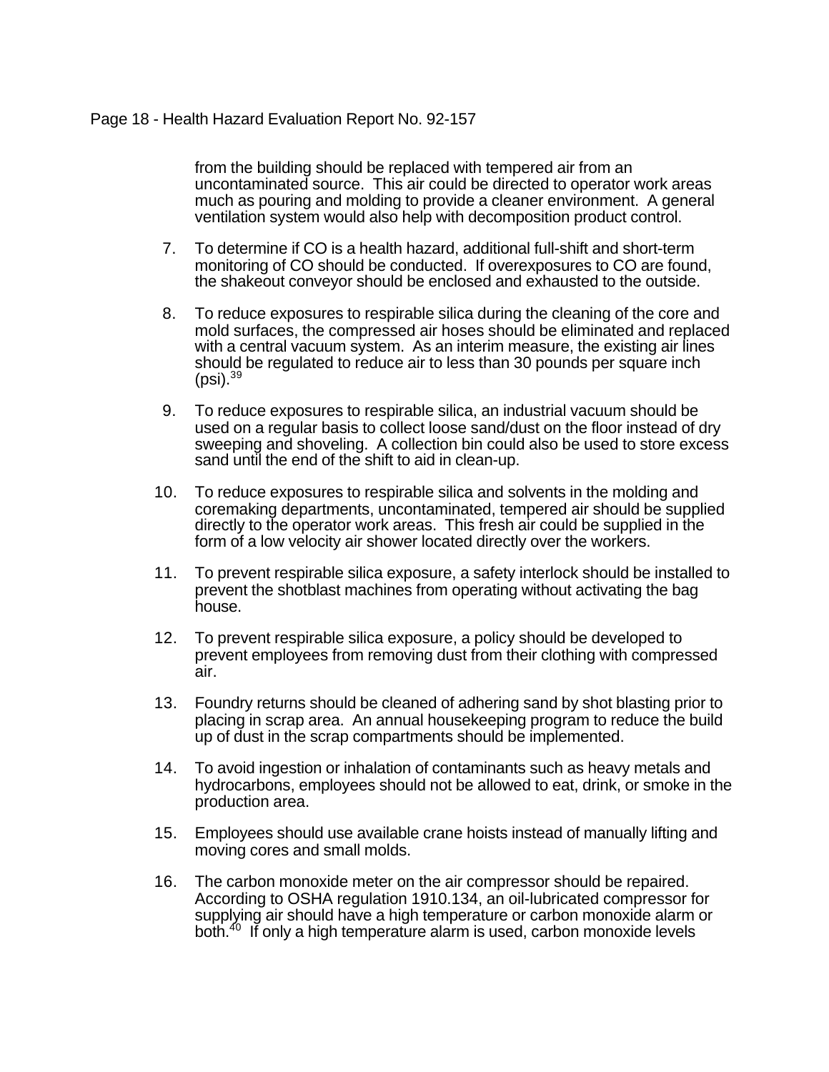### Page 18 - Health Hazard Evaluation Report No. 92-157

from the building should be replaced with tempered air from an uncontaminated source. This air could be directed to operator work areas much as pouring and molding to provide a cleaner environment. A general ventilation system would also help with decomposition product control.

- 7. To determine if CO is a health hazard, additional full-shift and short-term monitoring of CO should be conducted. If overexposures to CO are found, the shakeout conveyor should be enclosed and exhausted to the outside.
- 8. To reduce exposures to respirable silica during the cleaning of the core and mold surfaces, the compressed air hoses should be eliminated and replaced with a central vacuum system. As an interim measure, the existing air lines should be regulated to reduce air to less than 30 pounds per square inch  $(psi).<sup>39</sup>$
- 9. To reduce exposures to respirable silica, an industrial vacuum should be used on a regular basis to collect loose sand/dust on the floor instead of dry sweeping and shoveling. A collection bin could also be used to store excess sand until the end of the shift to aid in clean-up.
- 10. To reduce exposures to respirable silica and solvents in the molding and coremaking departments, uncontaminated, tempered air should be supplied directly to the operator work areas. This fresh air could be supplied in the form of a low velocity air shower located directly over the workers.
- 11. To prevent respirable silica exposure, a safety interlock should be installed to prevent the shotblast machines from operating without activating the bag house.
- 12. To prevent respirable silica exposure, a policy should be developed to prevent employees from removing dust from their clothing with compressed air.
- 13. Foundry returns should be cleaned of adhering sand by shot blasting prior to placing in scrap area. An annual housekeeping program to reduce the build up of dust in the scrap compartments should be implemented.
- 14. To avoid ingestion or inhalation of contaminants such as heavy metals and hydrocarbons, employees should not be allowed to eat, drink, or smoke in the production area.
- 15. Employees should use available crane hoists instead of manually lifting and moving cores and small molds.
- 16. The carbon monoxide meter on the air compressor should be repaired. According to OSHA regulation 1910.134, an oil-lubricated compressor for supplying air should have a high temperature or carbon monoxide alarm or both.<sup>40</sup> If only a high temperature alarm is used, carbon monoxide levels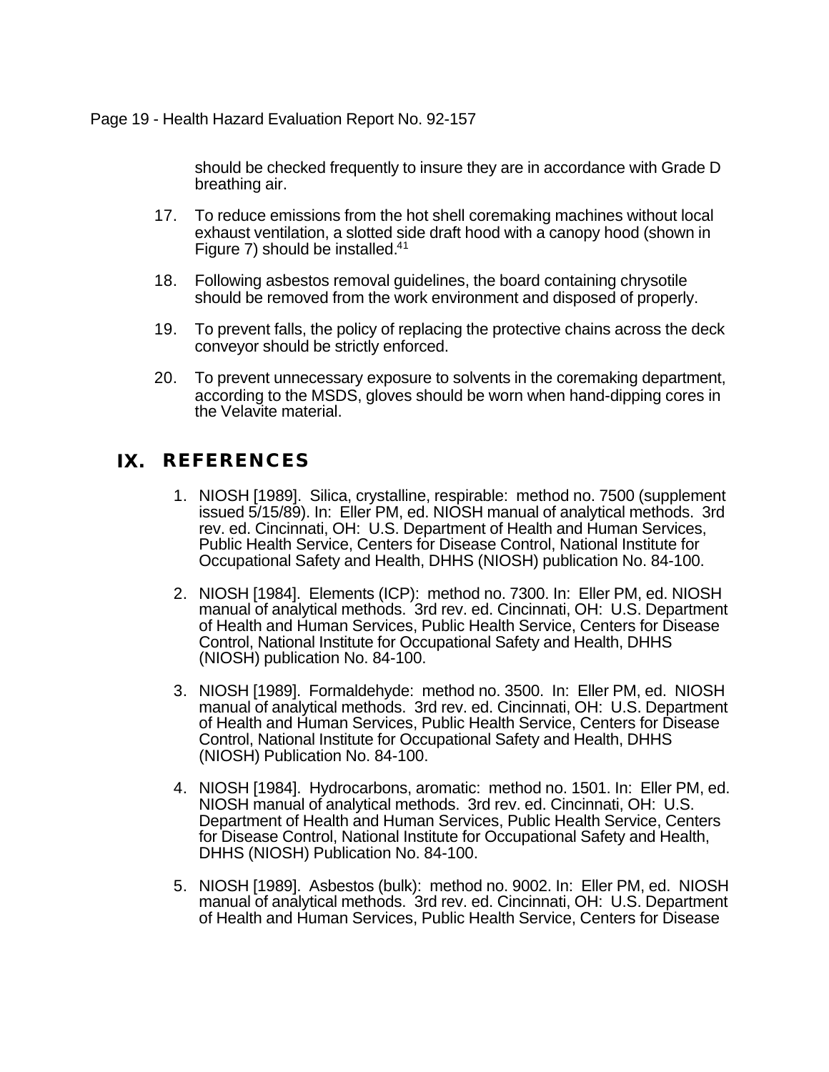### Page 19 - Health Hazard Evaluation Report No. 92-157

should be checked frequently to insure they are in accordance with Grade D breathing air.

- 17. To reduce emissions from the hot shell coremaking machines without local exhaust ventilation, a slotted side draft hood with a canopy hood (shown in Figure 7) should be installed.<sup>41</sup>
- 18. Following asbestos removal guidelines, the board containing chrysotile should be removed from the work environment and disposed of properly.
- 19. To prevent falls, the policy of replacing the protective chains across the deck conveyor should be strictly enforced.
- 20. To prevent unnecessary exposure to solvents in the coremaking department, according to the MSDS, gloves should be worn when hand-dipping cores in the Velavite material.

# **IX. REFERENCES**

- 1. NIOSH [1989]. Silica, crystalline, respirable: method no. 7500 (supplement issued 5/15/89). In: Eller PM, ed. NIOSH manual of analytical methods. 3rd rev. ed. Cincinnati, OH: U.S. Department of Health and Human Services, Public Health Service, Centers for Disease Control, National Institute for Occupational Safety and Health, DHHS (NIOSH) publication No. 84-100.
- 2. NIOSH [1984]. Elements (ICP): method no. 7300. In: Eller PM, ed. NIOSH manual of analytical methods. 3rd rev. ed. Cincinnati, OH: U.S. Department of Health and Human Services, Public Health Service, Centers for Disease Control, National Institute for Occupational Safety and Health, DHHS (NIOSH) publication No. 84-100.
- 3. NIOSH [1989]. Formaldehyde: method no. 3500. In: Eller PM, ed. NIOSH manual of analytical methods. 3rd rev. ed. Cincinnati, OH: U.S. Department of Health and Human Services, Public Health Service, Centers for Disease Control, National Institute for Occupational Safety and Health, DHHS (NIOSH) Publication No. 84-100.
- 4. NIOSH [1984]. Hydrocarbons, aromatic: method no. 1501. In: Eller PM, ed. NIOSH manual of analytical methods. 3rd rev. ed. Cincinnati, OH: U.S. Department of Health and Human Services, Public Health Service, Centers for Disease Control, National Institute for Occupational Safety and Health, DHHS (NIOSH) Publication No. 84-100.
- 5. NIOSH [1989]. Asbestos (bulk): method no. 9002. In: Eller PM, ed. NIOSH manual of analytical methods. 3rd rev. ed. Cincinnati, OH: U.S. Department of Health and Human Services, Public Health Service, Centers for Disease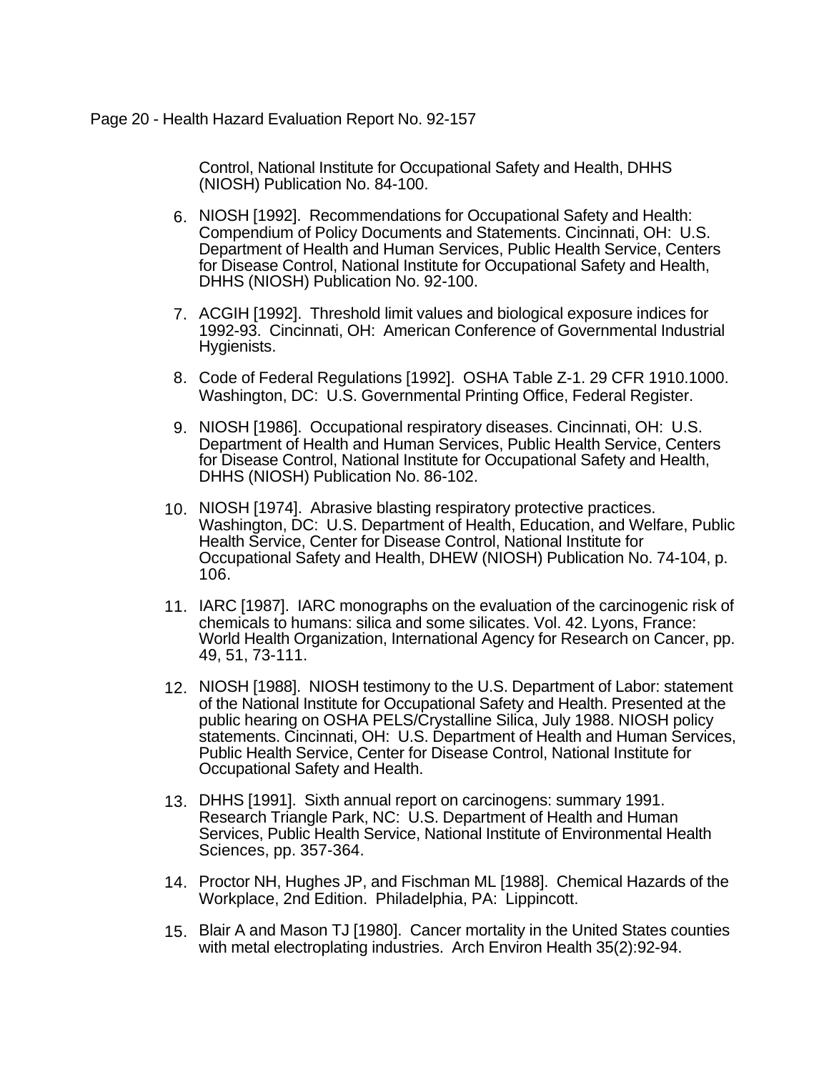### Page 20 - Health Hazard Evaluation Report No. 92-157

Control, National Institute for Occupational Safety and Health, DHHS (NIOSH) Publication No. 84-100.

- 6. NIOSH [1992]. Recommendations for Occupational Safety and Health: Compendium of Policy Documents and Statements. Cincinnati, OH: U.S. Department of Health and Human Services, Public Health Service, Centers for Disease Control, National Institute for Occupational Safety and Health, DHHS (NIOSH) Publication No. 92-100.
- 7. ACGIH [1992]. Threshold limit values and biological exposure indices for 1992-93. Cincinnati, OH: American Conference of Governmental Industrial Hygienists.
- 8. Code of Federal Regulations [1992]. OSHA Table Z-1. 29 CFR 1910.1000. Washington, DC: U.S. Governmental Printing Office, Federal Register.
- 9. NIOSH [1986]. Occupational respiratory diseases. Cincinnati, OH: U.S. Department of Health and Human Services, Public Health Service, Centers for Disease Control, National Institute for Occupational Safety and Health, DHHS (NIOSH) Publication No. 86-102.
- 10. NIOSH [1974]. Abrasive blasting respiratory protective practices. Washington, DC: U.S. Department of Health, Education, and Welfare, Public Health Service, Center for Disease Control, National Institute for Occupational Safety and Health, DHEW (NIOSH) Publication No. 74-104, p. 106.
- 11. IARC [1987]. IARC monographs on the evaluation of the carcinogenic risk of chemicals to humans: silica and some silicates. Vol. 42. Lyons, France: World Health Organization, International Agency for Research on Cancer, pp. 49, 51, 73-111.
- 12. NIOSH [1988]. NIOSH testimony to the U.S. Department of Labor: statement of the National Institute for Occupational Safety and Health. Presented at the public hearing on OSHA PELS/Crystalline Silica, July 1988. NIOSH policy statements. Cincinnati, OH: U.S. Department of Health and Human Services, Public Health Service, Center for Disease Control, National Institute for Occupational Safety and Health.
- 13. DHHS [1991]. Sixth annual report on carcinogens: summary 1991. Research Triangle Park, NC: U.S. Department of Health and Human Services, Public Health Service, National Institute of Environmental Health Sciences, pp. 357-364.
- 14. Proctor NH, Hughes JP, and Fischman ML [1988]. Chemical Hazards of the Workplace, 2nd Edition. Philadelphia, PA: Lippincott.
- 15. Blair A and Mason TJ [1980]. Cancer mortality in the United States counties with metal electroplating industries. Arch Environ Health 35(2):92-94.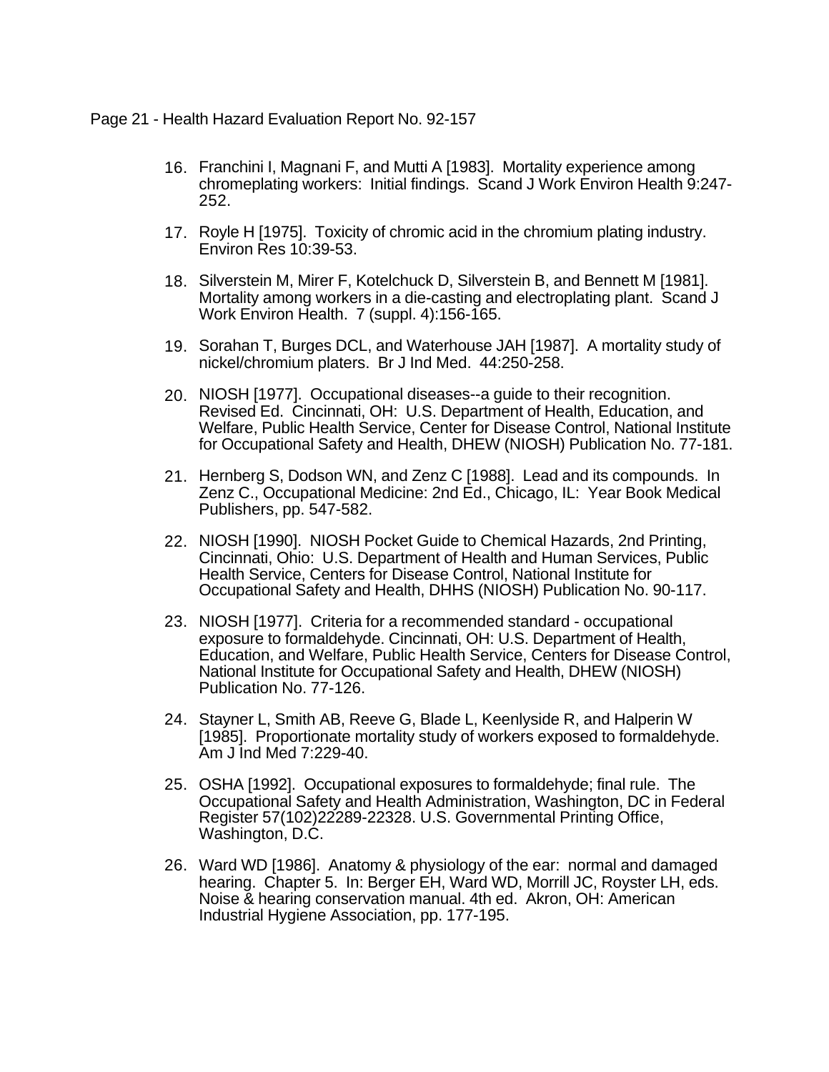Page 21 - Health Hazard Evaluation Report No. 92-157

- 16. Franchini I, Magnani F, and Mutti A [1983]. Mortality experience among chromeplating workers: Initial findings. Scand J Work Environ Health 9:247- 252.
- 17. Royle H [1975]. Toxicity of chromic acid in the chromium plating industry. Environ Res 10:39-53.
- 18. Silverstein M, Mirer F, Kotelchuck D, Silverstein B, and Bennett M [1981]. Mortality among workers in a die-casting and electroplating plant. Scand J Work Environ Health. 7 (suppl. 4):156-165.
- 19. Sorahan T, Burges DCL, and Waterhouse JAH [1987]. A mortality study of nickel/chromium platers. Br J Ind Med. 44:250-258.
- 20. NIOSH [1977]. Occupational diseases--a guide to their recognition. Revised Ed. Cincinnati, OH: U.S. Department of Health, Education, and Welfare, Public Health Service, Center for Disease Control, National Institute for Occupational Safety and Health, DHEW (NIOSH) Publication No. 77-181.
- 21. Hernberg S, Dodson WN, and Zenz C [1988]. Lead and its compounds. In Zenz C., Occupational Medicine: 2nd Ed., Chicago, IL: Year Book Medical Publishers, pp. 547-582.
- 22. NIOSH [1990]. NIOSH Pocket Guide to Chemical Hazards, 2nd Printing, Cincinnati, Ohio: U.S. Department of Health and Human Services, Public Health Service, Centers for Disease Control, National Institute for Occupational Safety and Health, DHHS (NIOSH) Publication No. 90-117.
- 23. NIOSH [1977]. Criteria for a recommended standard occupational exposure to formaldehyde. Cincinnati, OH: U.S. Department of Health, Education, and Welfare, Public Health Service, Centers for Disease Control, National Institute for Occupational Safety and Health, DHEW (NIOSH) Publication No. 77-126.
- 24. Stayner L, Smith AB, Reeve G, Blade L, Keenlyside R, and Halperin W [1985]. Proportionate mortality study of workers exposed to formaldehyde. Am J Ind Med 7:229-40.
- 25. OSHA [1992]. Occupational exposures to formaldehyde; final rule. The Occupational Safety and Health Administration, Washington, DC in Federal Register 57(102)22289-22328. U.S. Governmental Printing Office, Washington, D.C.
- 26. Ward WD [1986]. Anatomy & physiology of the ear: normal and damaged hearing. Chapter 5. In: Berger EH, Ward WD, Morrill JC, Royster LH, eds. Noise & hearing conservation manual. 4th ed. Akron, OH: American Industrial Hygiene Association, pp. 177-195.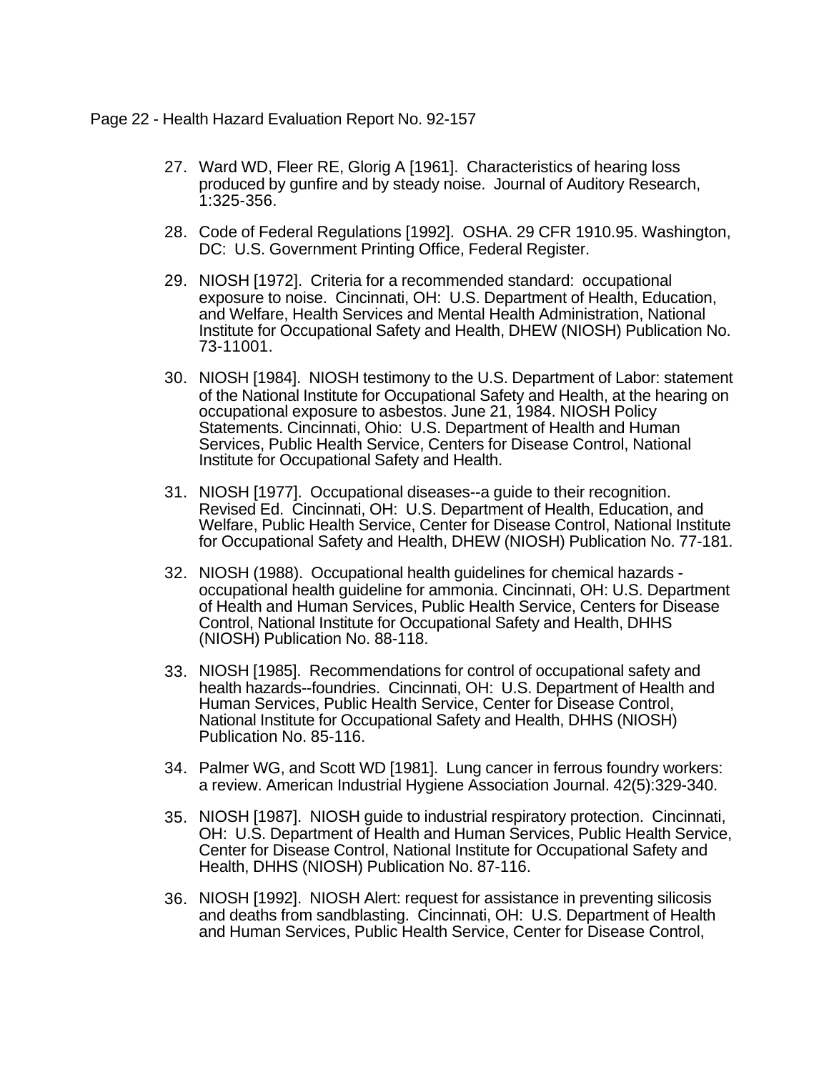Page 22 - Health Hazard Evaluation Report No. 92-157

- 27. Ward WD, Fleer RE, Glorig A [1961]. Characteristics of hearing loss produced by gunfire and by steady noise. Journal of Auditory Research, 1:325-356.
- 28. Code of Federal Regulations [1992]. OSHA. 29 CFR 1910.95. Washington, DC: U.S. Government Printing Office, Federal Register.
- 29. NIOSH [1972]. Criteria for a recommended standard: occupational exposure to noise. Cincinnati, OH: U.S. Department of Health, Education, and Welfare, Health Services and Mental Health Administration, National Institute for Occupational Safety and Health, DHEW (NIOSH) Publication No. 73-11001.
- 30. NIOSH [1984]. NIOSH testimony to the U.S. Department of Labor: statement of the National Institute for Occupational Safety and Health, at the hearing on occupational exposure to asbestos. June 21, 1984. NIOSH Policy Statements. Cincinnati, Ohio: U.S. Department of Health and Human Services, Public Health Service, Centers for Disease Control, National Institute for Occupational Safety and Health.
- 31. NIOSH [1977]. Occupational diseases--a guide to their recognition. Revised Ed. Cincinnati, OH: U.S. Department of Health, Education, and Welfare, Public Health Service, Center for Disease Control, National Institute for Occupational Safety and Health, DHEW (NIOSH) Publication No. 77-181.
- 32. NIOSH (1988). Occupational health guidelines for chemical hazards occupational health guideline for ammonia. Cincinnati, OH: U.S. Department of Health and Human Services, Public Health Service, Centers for Disease Control, National Institute for Occupational Safety and Health, DHHS (NIOSH) Publication No. 88-118.
- 33. NIOSH [1985]. Recommendations for control of occupational safety and health hazards--foundries. Cincinnati, OH: U.S. Department of Health and Human Services, Public Health Service, Center for Disease Control, National Institute for Occupational Safety and Health, DHHS (NIOSH) Publication No. 85-116.
- 34. Palmer WG, and Scott WD [1981]. Lung cancer in ferrous foundry workers: a review. American Industrial Hygiene Association Journal. 42(5):329-340.
- 35. NIOSH [1987]. NIOSH guide to industrial respiratory protection. Cincinnati, OH: U.S. Department of Health and Human Services, Public Health Service, Center for Disease Control, National Institute for Occupational Safety and Health, DHHS (NIOSH) Publication No. 87-116.
- 36. NIOSH [1992]. NIOSH Alert: request for assistance in preventing silicosis and deaths from sandblasting. Cincinnati, OH: U.S. Department of Health and Human Services, Public Health Service, Center for Disease Control,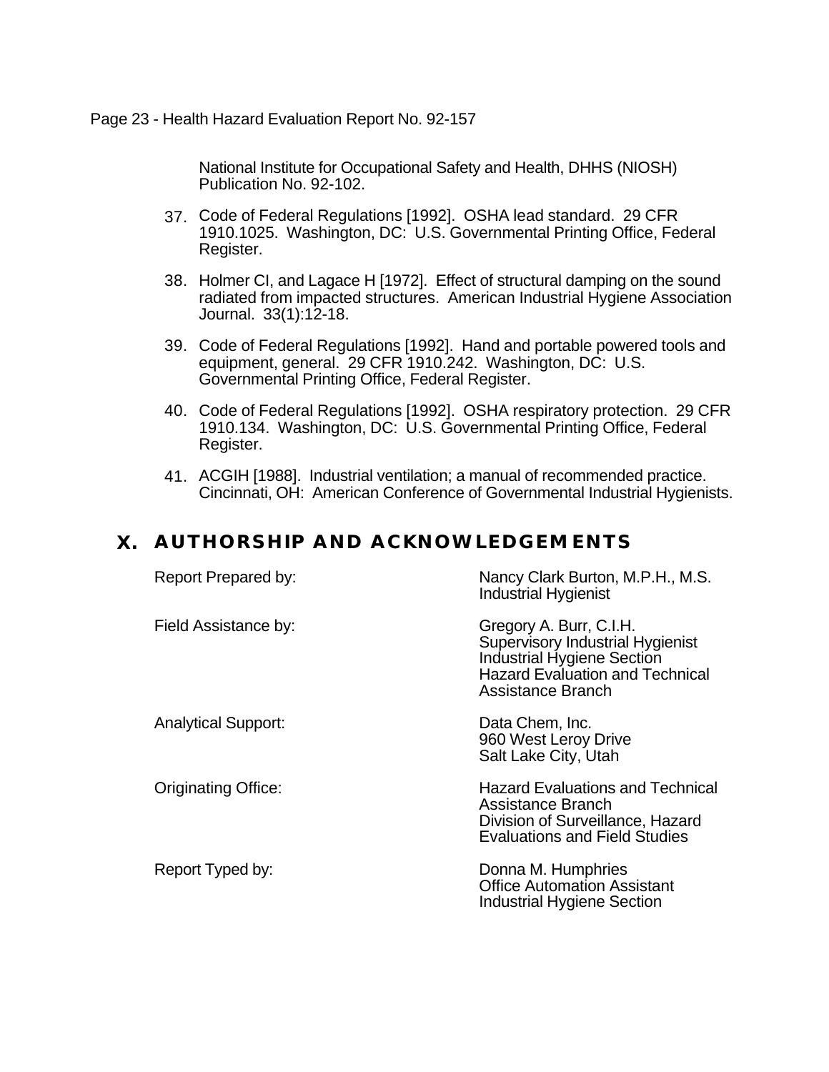Page 23 - Health Hazard Evaluation Report No. 92-157

National Institute for Occupational Safety and Health, DHHS (NIOSH) Publication No. 92-102.

- 37. Code of Federal Regulations [1992]. OSHA lead standard. 29 CFR 1910.1025. Washington, DC: U.S. Governmental Printing Office, Federal Register.
- 38. Holmer CI, and Lagace H [1972]. Effect of structural damping on the sound radiated from impacted structures. American Industrial Hygiene Association Journal. 33(1):12-18.
- 39. Code of Federal Regulations [1992]. Hand and portable powered tools and equipment, general. 29 CFR 1910.242. Washington, DC: U.S. Governmental Printing Office, Federal Register.
- 40. Code of Federal Regulations [1992]. OSHA respiratory protection. 29 CFR 1910.134. Washington, DC: U.S. Governmental Printing Office, Federal Register.
- 41. ACGIH [1988]. Industrial ventilation; a manual of recommended practice. Cincinnati, OH: American Conference of Governmental Industrial Hygienists.

# **X. AUTHORSHIP AND ACKNOWLEDGEMENTS**

| Report Prepared by:        | Nancy Clark Burton, M.P.H., M.S.<br><b>Industrial Hygienist</b>                                                                                                        |
|----------------------------|------------------------------------------------------------------------------------------------------------------------------------------------------------------------|
| Field Assistance by:       | Gregory A. Burr, C.I.H.<br><b>Supervisory Industrial Hygienist</b><br><b>Industrial Hygiene Section</b><br><b>Hazard Evaluation and Technical</b><br>Assistance Branch |
| <b>Analytical Support:</b> | Data Chem, Inc.<br>960 West Leroy Drive<br>Salt Lake City, Utah                                                                                                        |
| <b>Originating Office:</b> | <b>Hazard Evaluations and Technical</b><br>Assistance Branch<br>Division of Surveillance, Hazard<br><b>Evaluations and Field Studies</b>                               |
| Report Typed by:           | Donna M. Humphries<br><b>Office Automation Assistant</b><br><b>Industrial Hygiene Section</b>                                                                          |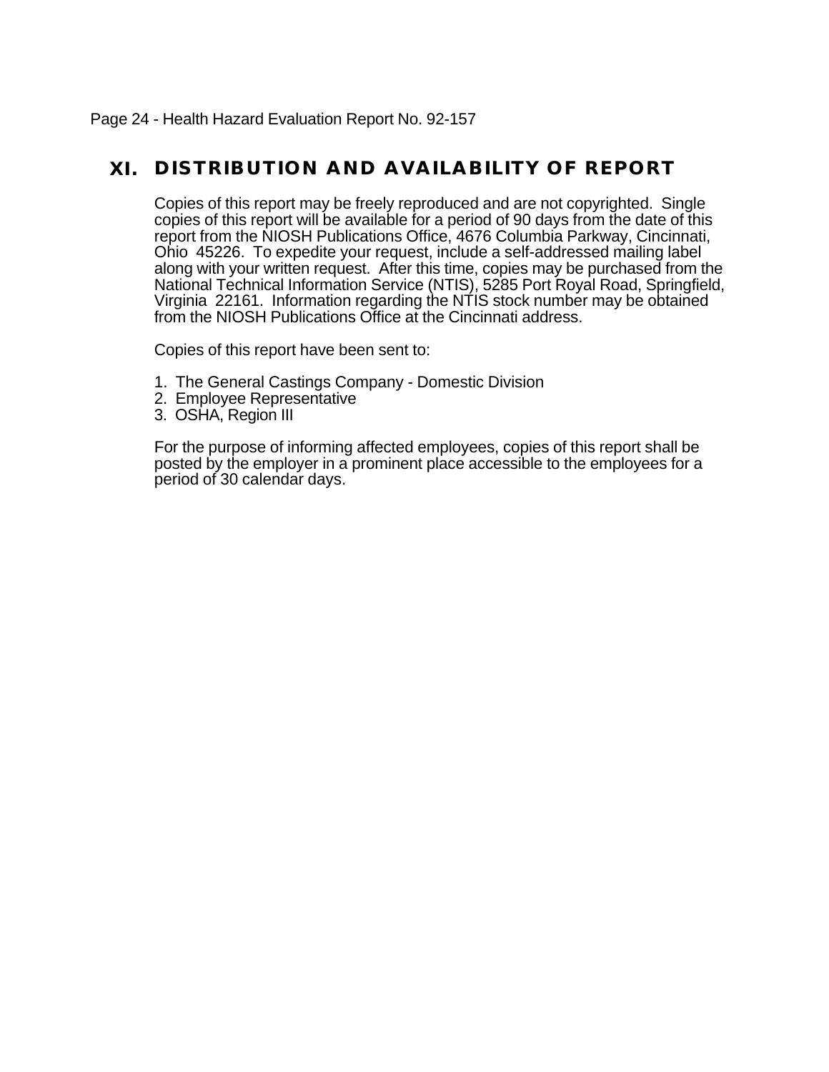Page 24 - Health Hazard Evaluation Report No. 92-157

# **XI. DISTRIBUTION AND AVAILABILITY OF REPORT**

Copies of this report may be freely reproduced and are not copyrighted. Single copies of this report will be available for a period of 90 days from the date of this report from the NIOSH Publications Office, 4676 Columbia Parkway, Cincinnati, Ohio 45226. To expedite your request, include a self-addressed mailing label along with your written request. After this time, copies may be purchased from the National Technical Information Service (NTIS), 5285 Port Royal Road, Springfield, Virginia 22161. Information regarding the NTIS stock number may be obtained from the NIOSH Publications Office at the Cincinnati address.

Copies of this report have been sent to:

- 1. The General Castings Company Domestic Division
- 2. Employee Representative
- 3. OSHA, Region III

For the purpose of informing affected employees, copies of this report shall be posted by the employer in a prominent place accessible to the employees for a period of 30 calendar days.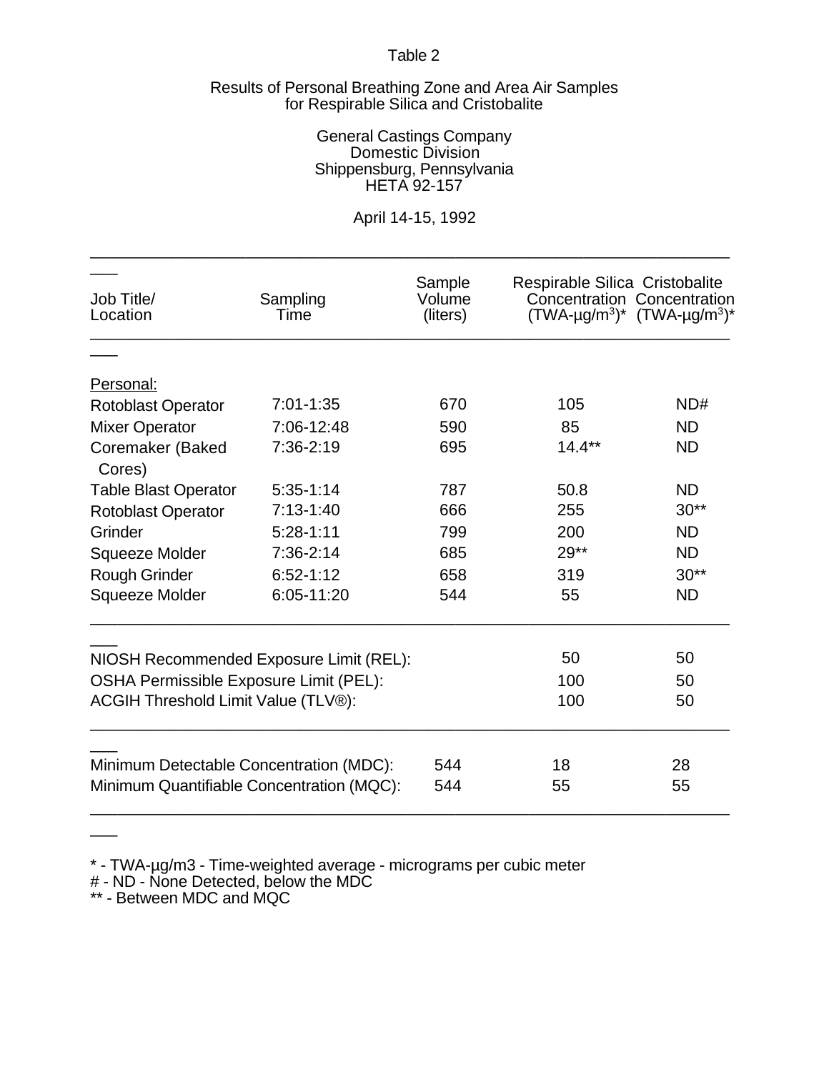#### Results of Personal Breathing Zone and Area Air Samples for Respirable Silica and Cristobalite

#### General Castings Company Domestic Division Shippensburg, Pennsylvania HETA 92-157

# April 14-15, 1992

\_\_\_\_\_\_\_\_\_\_\_\_\_\_\_\_\_\_\_\_\_\_\_\_\_\_\_\_\_\_\_\_\_\_\_\_\_\_\_\_\_\_\_\_\_\_\_\_\_\_\_\_\_\_\_\_\_\_\_\_\_\_\_\_\_\_\_\_\_\_

| Job Title/<br>Location                    | Sampling<br>Time                        | Sample<br>Volume<br>(liters) | Respirable Silica Cristobalite<br>Concentration Concentration<br>$(TWA-\mu g/m^3)^*$ $(TWA-\mu g/m^3)^*$ |           |
|-------------------------------------------|-----------------------------------------|------------------------------|----------------------------------------------------------------------------------------------------------|-----------|
|                                           |                                         |                              |                                                                                                          |           |
| Personal:                                 |                                         |                              |                                                                                                          |           |
| Rotoblast Operator                        | $7:01 - 1:35$                           | 670                          | 105                                                                                                      | ND#       |
| <b>Mixer Operator</b>                     | 7:06-12:48                              | 590                          | 85                                                                                                       | <b>ND</b> |
| Coremaker (Baked<br>Cores)                | 7:36-2:19                               | 695                          | $14.4***$                                                                                                | <b>ND</b> |
| <b>Table Blast Operator</b>               | $5:35-1:14$                             | 787                          | 50.8                                                                                                     | <b>ND</b> |
| <b>Rotoblast Operator</b>                 | $7:13-1:40$                             | 666                          | 255                                                                                                      | $30**$    |
| Grinder                                   | $5:28-1:11$                             | 799                          | 200                                                                                                      | <b>ND</b> |
| Squeeze Molder                            | 7:36-2:14                               | 685                          | $29**$                                                                                                   | <b>ND</b> |
| <b>Rough Grinder</b>                      | $6:52 - 1:12$                           | 658                          | 319                                                                                                      | $30**$    |
| Squeeze Molder                            | 6:05-11:20                              | 544                          | 55                                                                                                       | <b>ND</b> |
|                                           | NIOSH Recommended Exposure Limit (REL): |                              | 50                                                                                                       | 50        |
| OSHA Permissible Exposure Limit (PEL):    |                                         |                              | 100                                                                                                      | 50        |
| ACGIH Threshold Limit Value (TLV®):       |                                         |                              | 100                                                                                                      | 50        |
| Minimum Detectable Concentration (MDC):   |                                         | 544                          | 18                                                                                                       | 28        |
| Minimum Quantifiable Concentration (MQC): |                                         | 544                          | 55                                                                                                       | 55        |

\* - TWA-µg/m3 - Time-weighted average - micrograms per cubic meter

# - ND - None Detected, below the MDC

\*\* - Between MDC and MQC

 $\overline{\phantom{a}}$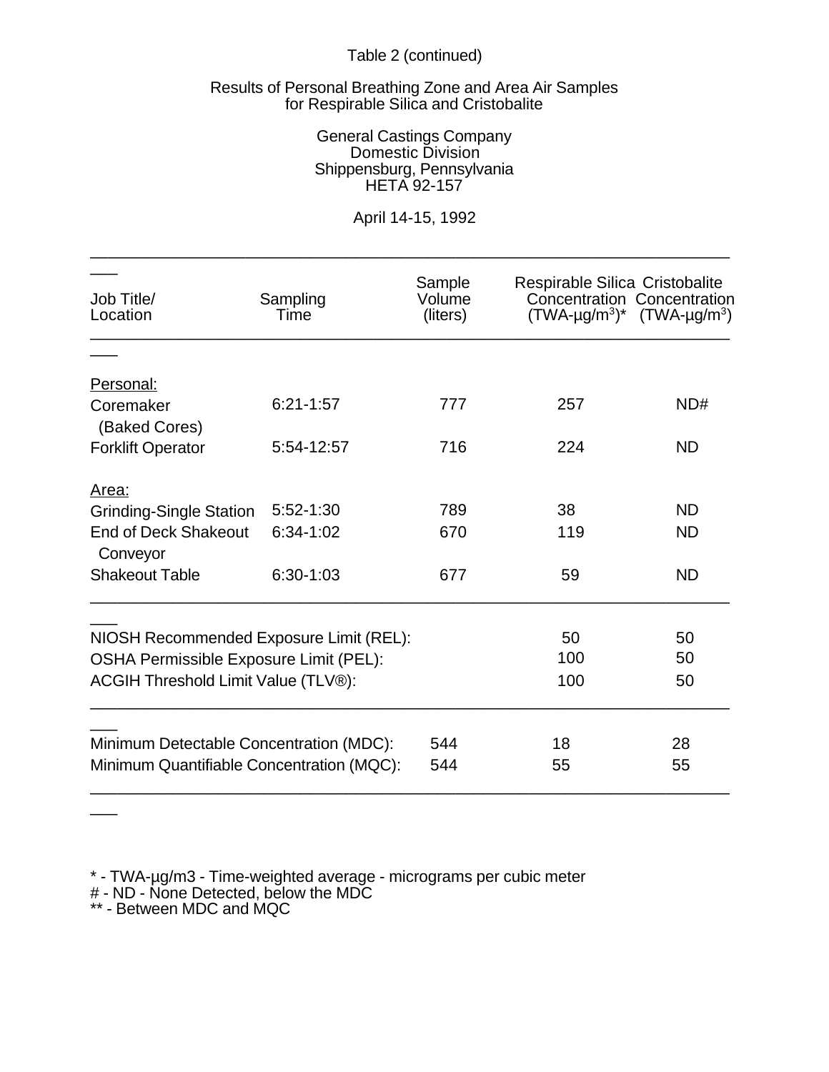# Table 2 (continued)

### Results of Personal Breathing Zone and Area Air Samples for Respirable Silica and Cristobalite

### General Castings Company Domestic Division Shippensburg, Pennsylvania HETA 92-157

# April 14-15, 1992

\_\_\_\_\_\_\_\_\_\_\_\_\_\_\_\_\_\_\_\_\_\_\_\_\_\_\_\_\_\_\_\_\_\_\_\_\_\_\_\_\_\_\_\_\_\_\_\_\_\_\_\_\_\_\_\_\_\_\_\_\_\_\_\_\_\_\_\_\_\_

| Job Title/<br>Location                    | Sampling<br>Time | Sample<br>Volume<br>(liters) | Respirable Silica Cristobalite<br>Concentration Concentration<br>$(TWA-\mu g/m^3)^*$ $(TWA-\mu g/m^3)$ |           |
|-------------------------------------------|------------------|------------------------------|--------------------------------------------------------------------------------------------------------|-----------|
|                                           |                  |                              |                                                                                                        |           |
| Personal:                                 |                  |                              |                                                                                                        |           |
| Coremaker<br>(Baked Cores)                | $6:21 - 1:57$    | 777                          | 257                                                                                                    | ND#       |
| <b>Forklift Operator</b>                  | 5:54-12:57       | 716                          | 224                                                                                                    | <b>ND</b> |
| Area:                                     |                  |                              |                                                                                                        |           |
| <b>Grinding-Single Station</b>            | $5:52 - 1:30$    | 789                          | 38                                                                                                     | <b>ND</b> |
| <b>End of Deck Shakeout</b><br>Conveyor   | $6:34-1:02$      | 670                          | 119                                                                                                    | <b>ND</b> |
| <b>Shakeout Table</b>                     | $6:30-1:03$      | 677                          | 59                                                                                                     | <b>ND</b> |
|                                           |                  |                              |                                                                                                        |           |
| NIOSH Recommended Exposure Limit (REL):   |                  |                              | 50                                                                                                     | 50        |
| OSHA Permissible Exposure Limit (PEL):    |                  |                              | 100                                                                                                    | 50        |
| ACGIH Threshold Limit Value (TLV®):       |                  |                              | 100                                                                                                    | 50        |
|                                           |                  | 544                          | 18                                                                                                     | 28        |
| Minimum Detectable Concentration (MDC):   |                  |                              |                                                                                                        |           |
| Minimum Quantifiable Concentration (MQC): |                  | 544                          | 55                                                                                                     | 55        |

\* - TWA-µg/m3 - Time-weighted average - micrograms per cubic meter

- # ND None Detected, below the MDC
- \*\* Between MDC and MQC

 $\overline{\phantom{a}}$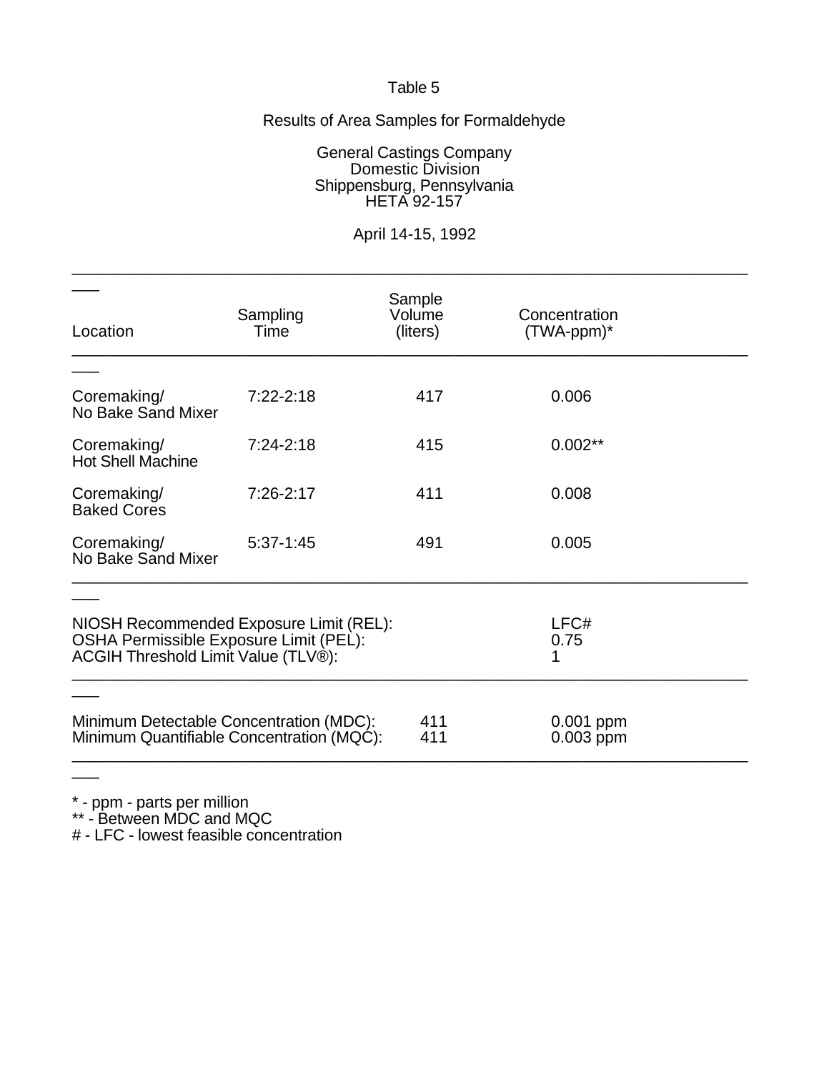# Results of Area Samples for Formaldehyde

General Castings Company Domestic Division Shippensburg, Pennsylvania HETA 92-157

# April 14-15, 1992

| Location                                                                                                                 | Sampling<br>Time | Sample<br>Volume<br>(liters) | Concentration<br>(TWA-ppm)* |  |
|--------------------------------------------------------------------------------------------------------------------------|------------------|------------------------------|-----------------------------|--|
|                                                                                                                          |                  |                              |                             |  |
| Coremaking/<br>No Bake Sand Mixer                                                                                        | $7:22 - 2:18$    | 417                          | 0.006                       |  |
| Coremaking/<br><b>Hot Shell Machine</b>                                                                                  | $7:24-2:18$      | 415                          | $0.002**$                   |  |
| Coremaking/<br><b>Baked Cores</b>                                                                                        | $7:26-2:17$      | 411                          | 0.008                       |  |
| Coremaking/<br>No Bake Sand Mixer                                                                                        | $5:37-1:45$      | 491                          | 0.005                       |  |
|                                                                                                                          |                  |                              |                             |  |
| NIOSH Recommended Exposure Limit (REL):<br>OSHA Permissible Exposure Limit (PEL):<br>ACGIH Threshold Limit Value (TLV®): |                  |                              | LFC#<br>0.75<br>1           |  |
|                                                                                                                          |                  |                              |                             |  |
| Minimum Detectable Concentration (MDC):<br>Minimum Quantifiable Concentration (MQC):                                     |                  | 411<br>411                   | 0.001 ppm<br>0.003 ppm      |  |
|                                                                                                                          |                  |                              |                             |  |

\* - ppm - parts per million

\*\* - Between MDC and MQC

# - LFC - lowest feasible concentration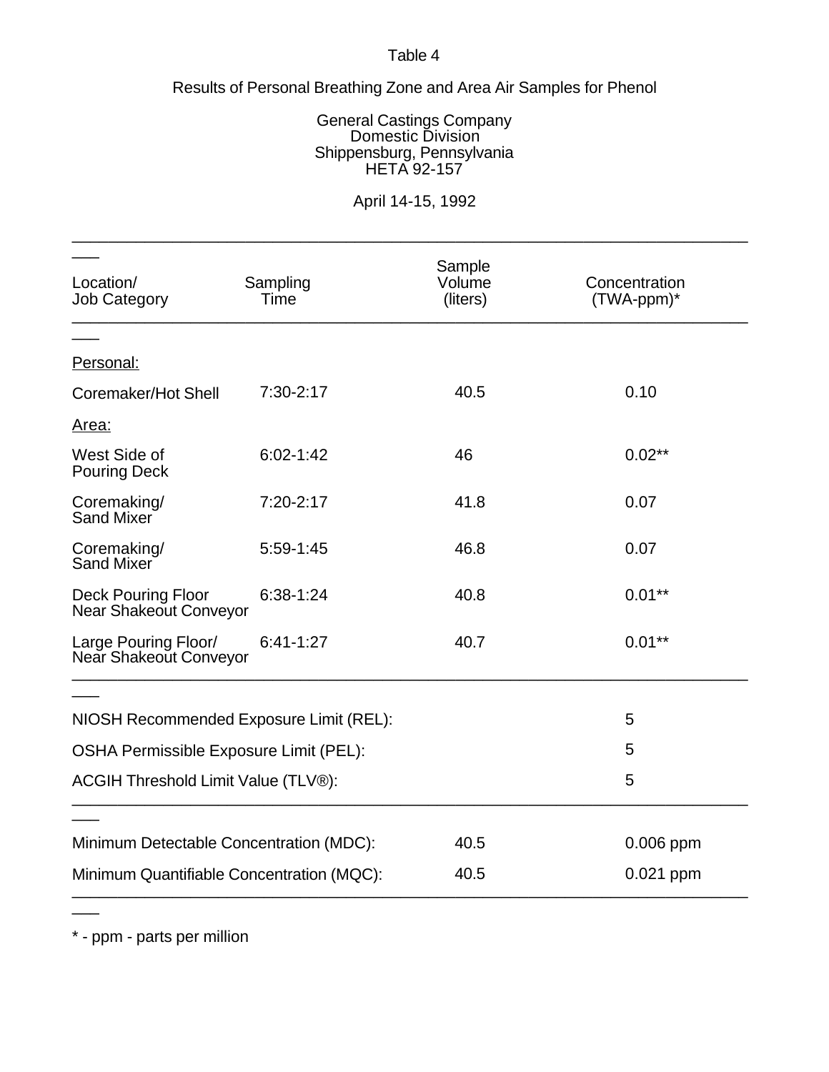# Results of Personal Breathing Zone and Area Air Samples for Phenol

### General Castings Company Domestic Division Shippensburg, Pennsylvania HETA 92-157

# April 14-15, 1992

\_\_\_\_\_\_\_\_\_\_\_\_\_\_\_\_\_\_\_\_\_\_\_\_\_\_\_\_\_\_\_\_\_\_\_\_\_\_\_\_\_\_\_\_\_\_\_\_\_\_\_\_\_\_\_\_\_\_\_\_\_\_\_\_\_\_\_\_\_\_\_\_\_\_

| Location/<br><b>Job Category</b>               | Sampling<br>Time | Sample<br>Volume<br>(liters) | Concentration<br>$(TWA-ppm)^*$ |
|------------------------------------------------|------------------|------------------------------|--------------------------------|
| Personal:                                      |                  |                              |                                |
| Coremaker/Hot Shell                            | $7:30-2:17$      | 40.5                         | 0.10                           |
| Area:                                          |                  |                              |                                |
| West Side of<br><b>Pouring Deck</b>            | $6:02 - 1:42$    | 46                           | $0.02**$                       |
| Coremaking/<br>Sand Mixer                      | 7:20-2:17        | 41.8                         | 0.07                           |
| Coremaking/<br>Sand Mixer                      | $5:59-1:45$      | 46.8                         | 0.07                           |
| Deck Pouring Floor<br>Near Shakeout Conveyor   | $6:38-1:24$      | 40.8                         | $0.01***$                      |
| Large Pouring Floor/<br>Near Shakeout Conveyor | $6:41-1:27$      | 40.7                         | $0.01***$                      |
|                                                |                  |                              |                                |
| NIOSH Recommended Exposure Limit (REL):        |                  |                              | 5                              |
| OSHA Permissible Exposure Limit (PEL):         |                  |                              | 5                              |
| ACGIH Threshold Limit Value (TLV®):            |                  |                              | 5                              |
|                                                |                  |                              |                                |
| Minimum Detectable Concentration (MDC):        |                  | 40.5                         | 0.006 ppm                      |
| Minimum Quantifiable Concentration (MQC):      |                  | 40.5                         | 0.021 ppm                      |

\* - ppm - parts per million

 $\overline{\phantom{a}}$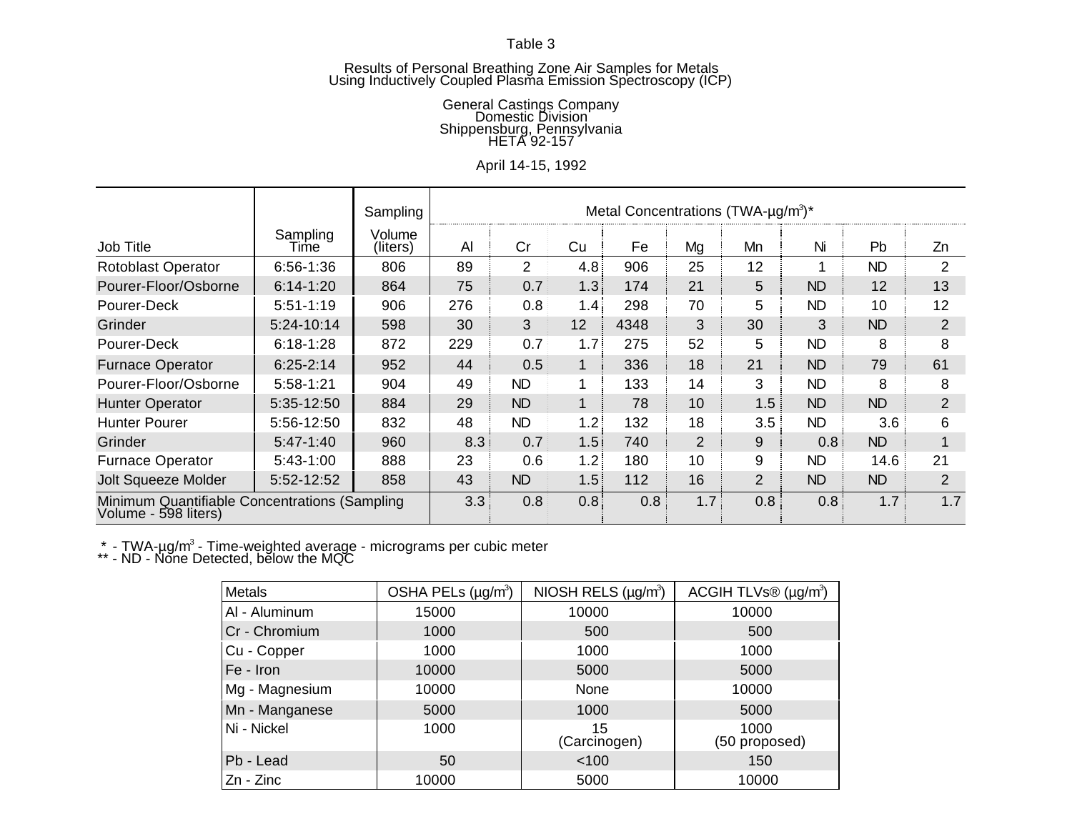#### Results of Personal Breathing Zone Air Samples for Metals Using Inductively Coupled Plasma Emission Spectroscopy (ICP)

#### General Castings Company Domestic Division Shippensburg, Pennsylvania HETA 92-157

# April 14-15, 1992

|                                                                       |                  | Sampling           |     |                |                  | Metal Concentrations (TWA- $\mu$ g/m <sup>3</sup> )* |                |                  |           |           |                |
|-----------------------------------------------------------------------|------------------|--------------------|-----|----------------|------------------|------------------------------------------------------|----------------|------------------|-----------|-----------|----------------|
| Job Title                                                             | Sampling<br>Time | Volume<br>(liters) | Al  | Cr             | Cu               | Fe                                                   | Mg             | Mn               | Ni        | Pb        | Zn             |
| <b>Rotoblast Operator</b>                                             | $6:56 - 1:36$    | 806                | 89  | $\overline{2}$ | 4.8              | 906                                                  | 25             | 12               |           | <b>ND</b> | 2              |
| Pourer-Floor/Osborne                                                  | $6:14-1:20$      | 864                | 75  | 0.7            | 1.3              | 174                                                  | 21             | 5                | <b>ND</b> | 12        | 13             |
| Pourer-Deck                                                           | $5:51 - 1:19$    | 906                | 276 | 0.8            | 1.4              | 298                                                  | 70             | 5                | <b>ND</b> | 10        | 12             |
| Grinder                                                               | 5:24-10:14       | 598                | 30  | 3              | 12               | 4348                                                 | 3              | 30               | 3         | <b>ND</b> | 2              |
| Pourer-Deck                                                           | $6:18 - 1:28$    | 872                | 229 | 0.7            | 1.7 <sub>1</sub> | 275                                                  | 52             | 5                | <b>ND</b> | 8         | 8              |
| <b>Furnace Operator</b>                                               | $6:25 - 2:14$    | 952                | 44  | 0.5            | 1                | 336                                                  | 18             | 21               | <b>ND</b> | 79        | 61             |
| Pourer-Floor/Osborne                                                  | $5:58-1:21$      | 904                | 49  | <b>ND</b>      |                  | 133                                                  | 14             | 3                | <b>ND</b> | 8         | 8              |
| <b>Hunter Operator</b>                                                | 5:35-12:50       | 884                | 29  | <b>ND</b>      |                  | 78                                                   | 10             | 1.5              | <b>ND</b> | <b>ND</b> | 2              |
| <b>Hunter Pourer</b>                                                  | 5:56-12:50       | 832                | 48  | ND.            | 1.2              | 132                                                  | 18             | 3.5              | <b>ND</b> | 3.6       | 6              |
| Grinder                                                               | $5:47-1:40$      | 960                | 8.3 | 0.7            | 1.5              | 740                                                  | $\overline{2}$ | 9                | 0.8       | <b>ND</b> |                |
| <b>Furnace Operator</b>                                               | $5:43-1:00$      | 888                | 23  | 0.6            | 1.2              | 180                                                  | 10             | 9                | <b>ND</b> | 14.6      | 21             |
| <b>Jolt Squeeze Molder</b>                                            | 5:52-12:52       | 858                | 43  | <b>ND</b>      | 1.5              | 112                                                  | 16             | $\overline{2}$   | <b>ND</b> | <b>ND</b> | $\overline{2}$ |
| Minimum Quantifiable Concentrations (Sampling<br>Volume - 598 liters) |                  | 3.3                | 0.8 | 0.8            | 0.8              | 17 <sub>1</sub>                                      | 0.8            | 0.8 <sub>1</sub> | 1.7       | 1.7       |                |

 $*$  - TWA-µg/m<sup>3</sup> - Time-weighted average - micrograms per cubic meter

\*\* - ND - None Detected, below the MQC

| Metals         | OSHA PELs (µg/m <sup>3</sup> ) | NIOSH RELS $(\mu g/m^3)$ | ACGIH TLVs $\circledR$ (µg/m <sup>3</sup> ) |
|----------------|--------------------------------|--------------------------|---------------------------------------------|
| AI - Aluminum  | 15000                          | 10000                    | 10000                                       |
| Cr - Chromium  | 1000                           | 500                      | 500                                         |
| Cu - Copper    | 1000                           | 1000                     | 1000                                        |
| Fe - Iron      | 10000                          | 5000                     | 5000                                        |
| Mg - Magnesium | 10000                          | None                     | 10000                                       |
| Mn - Manganese | 5000                           | 1000                     | 5000                                        |
| Ni - Nickel    | 1000                           | 15<br>(Carcinogen)       | 1000<br>(50 proposed)                       |
| Pb - Lead      | 50                             | 100                      | 150                                         |
| Zn - Zinc      | 10000                          | 5000                     | 10000                                       |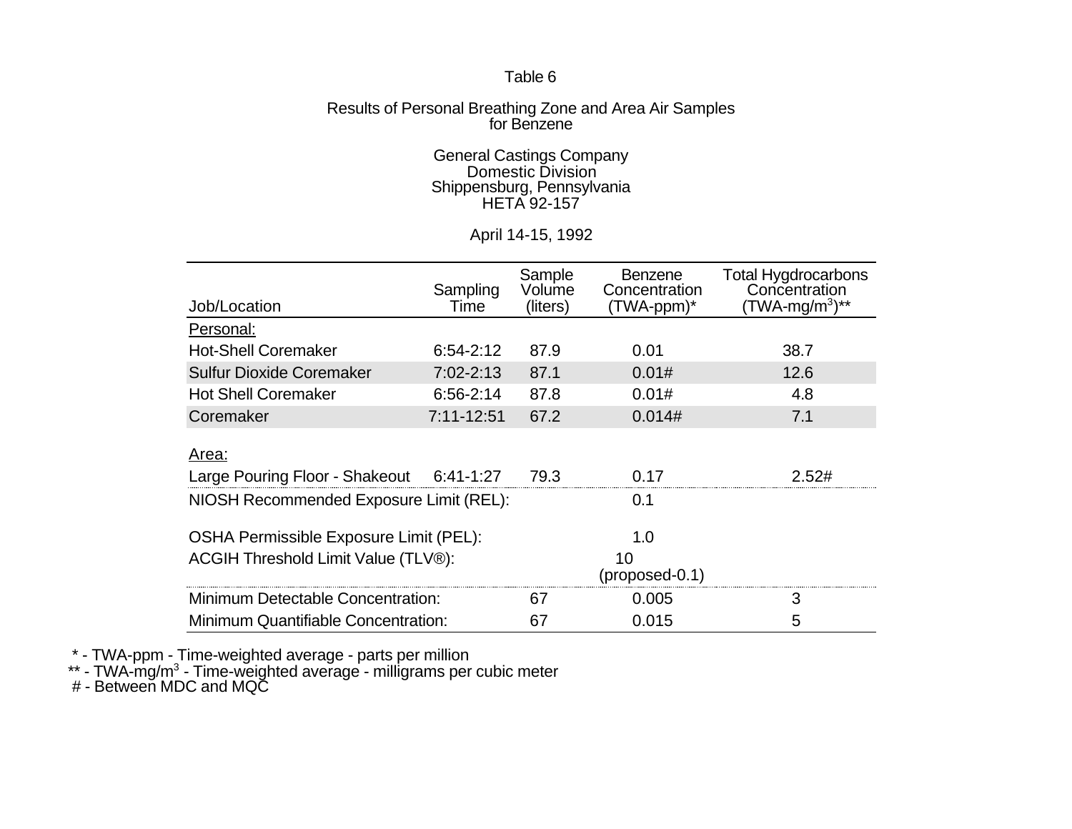### Results of Personal Breathing Zone and Area Air Samples for Benzene

#### General Castings Company Domestic Division Shippensburg, Pennsylvania HETA 92-157

## April 14-15, 1992

|                                          |                | Sample   | <b>Benzene</b>   | <b>Total Hygdrocarbons</b> |
|------------------------------------------|----------------|----------|------------------|----------------------------|
|                                          | Sampling       | Volume   | Concentration    | Concentration              |
| Job/Location                             | Time           | (liters) | (TWA-ppm)*       | (TWA-mg/m <sup>3</sup> )** |
| Personal:                                |                |          |                  |                            |
| <b>Hot-Shell Coremaker</b>               | $6:54-2:12$    | 87.9     | 0.01             | 38.7                       |
| <b>Sulfur Dioxide Coremaker</b>          | 7:02-2:13      | 87.1     | 0.01#            | 12.6                       |
| <b>Hot Shell Coremaker</b>               | $6:56 - 2:14$  | 87.8     | 0.01#            | 4.8                        |
| Coremaker                                | $7:11 - 12:51$ | 67.2     | 0.014#           | 7.1                        |
|                                          |                |          |                  |                            |
| Area:                                    |                |          |                  |                            |
| Large Pouring Floor - Shakeout 6:41-1:27 |                | 79.3     | 0.17             | 2.52#                      |
| NIOSH Recommended Exposure Limit (REL):  |                | 0.1      |                  |                            |
|                                          |                |          |                  |                            |
| OSHA Permissible Exposure Limit (PEL):   |                | 1.0      |                  |                            |
| ACGIH Threshold Limit Value (TLV®):      |                |          | 10               |                            |
|                                          |                |          | $(proposed-0.1)$ |                            |
| Minimum Detectable Concentration:        | 67             | 0.005    | 3                |                            |
| Minimum Quantifiable Concentration:      | 67             | 0.015    | 5                |                            |

\* - TWA-ppm - Time-weighted average - parts per million

 $**$  - TWA-mg/m<sup>3</sup> - Time-weighted average - milligrams per cubic meter

# - Between MDC and MQC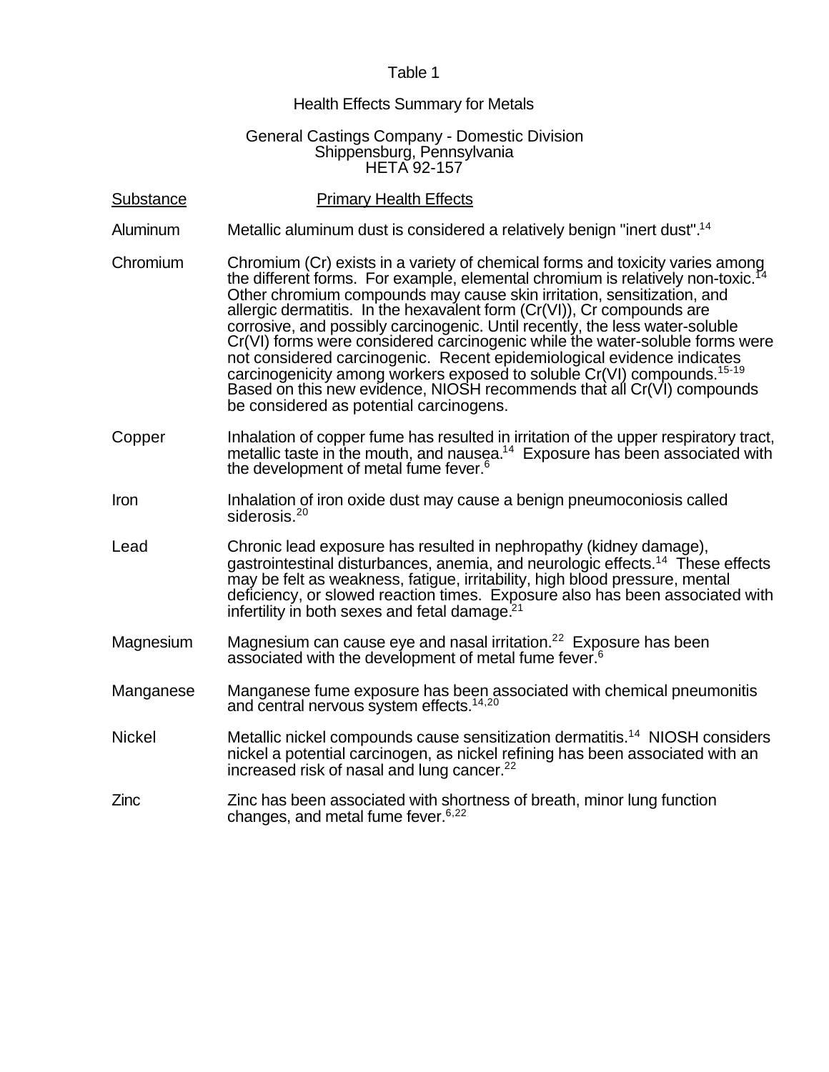### Health Effects Summary for Metals

#### General Castings Company - Domestic Division Shippensburg, Pennsylvania HETA 92-157

| Substance |  | <b>Primary Health Effects</b> |
|-----------|--|-------------------------------|
|           |  |                               |

- Aluminum Metallic aluminum dust is considered a relatively benign "inert dust".<sup>14</sup>
- Chromium Chromium (Cr) exists in a variety of chemical forms and toxicity varies among the different forms. For example, elemental chromium is relatively non-toxic.<sup>1</sup> Other chromium compounds may cause skin irritation, sensitization, and allergic dermatitis. In the hexavalent form (Cr(VI)), Cr compounds are corrosive, and possibly carcinogenic. Until recently, the less water-soluble Cr(VI) forms were considered carcinogenic while the water-soluble forms were not considered carcinogenic. Recent epidemiological evidence indicates carcinogenicity among workers exposed to soluble Cr(VI) compounds.<sup>15-19</sup> Based on this new evidence, NIOSH recommends that all Cr(VI) compounds be considered as potential carcinogens.
- Copper Inhalation of copper fume has resulted in irritation of the upper respiratory tract, metallic taste in the mouth, and nausea.<sup>14</sup> Exposure has been associated with the development of metal fume fever.<sup>6</sup>
- Iron Inhalation of iron oxide dust may cause a benign pneumoconiosis called siderosis.<sup>20</sup>
- Lead Chronic lead exposure has resulted in nephropathy (kidney damage), gastrointestinal disturbances, anemia, and neurologic effects.<sup>14</sup> These effects may be felt as weakness, fatigue, irritability, high blood pressure, mental deficiency, or slowed reaction times. Exposure also has been associated with infertility in both sexes and fetal damage. $21$
- Magnesium Magnesium can cause eye and nasal irritation.<sup>22</sup> Exposure has been associated with the development of metal fume fever.<sup>6</sup>
- Manganese Manganese fume exposure has been associated with chemical pneumonitis and central nervous system effects.<sup>14,20</sup>
- Nickel Metallic nickel compounds cause sensitization dermatitis.<sup>14</sup> NIOSH considers nickel a potential carcinogen, as nickel refining has been associated with an increased risk of nasal and lung cancer.<sup>22</sup>
- Zinc Zinc has been associated with shortness of breath, minor lung function changes, and metal fume fever. $6,22$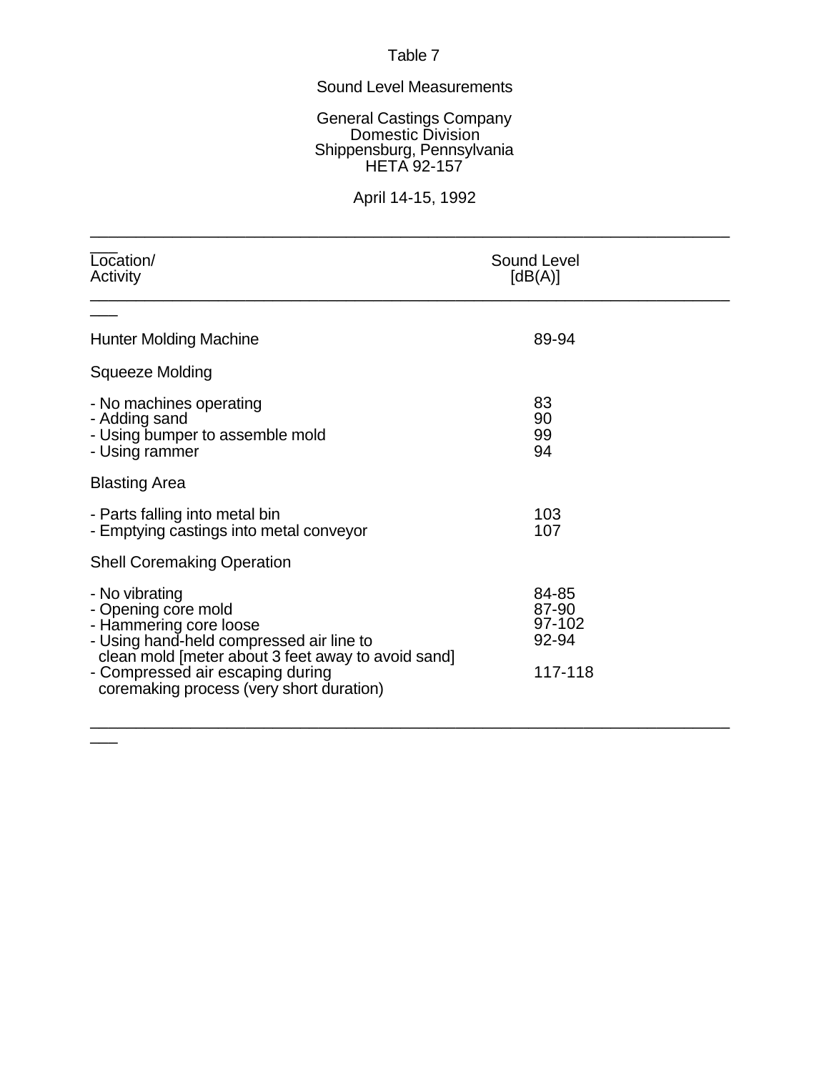# Sound Level Measurements

General Castings Company Domestic Division Shippensburg, Pennsylvania HETA 92-157

# April 14-15, 1992

\_\_\_\_\_\_\_\_\_\_\_\_\_\_\_\_\_\_\_\_\_\_\_\_\_\_\_\_\_\_\_\_\_\_\_\_\_\_\_\_\_\_\_\_\_\_\_\_\_\_\_\_\_\_\_\_\_\_\_\_\_\_\_\_\_\_\_\_\_\_

| Location/<br>Activity                                                                                                                                                                                                                             | <b>Sound Level</b><br>[dB(A)]                |
|---------------------------------------------------------------------------------------------------------------------------------------------------------------------------------------------------------------------------------------------------|----------------------------------------------|
|                                                                                                                                                                                                                                                   |                                              |
| Hunter Molding Machine                                                                                                                                                                                                                            | 89-94                                        |
| Squeeze Molding                                                                                                                                                                                                                                   |                                              |
| - No machines operating<br>- Adding sand<br>- Using bumper to assemble mold<br>- Using rammer                                                                                                                                                     | 83<br>90<br>99<br>94                         |
| <b>Blasting Area</b>                                                                                                                                                                                                                              |                                              |
| - Parts falling into metal bin<br>- Emptying castings into metal conveyor                                                                                                                                                                         | 103<br>107                                   |
| <b>Shell Coremaking Operation</b>                                                                                                                                                                                                                 |                                              |
| - No vibrating<br>- Opening core mold<br>- Hammering core loose<br>- Using hand-held compressed air line to<br>clean mold [meter about 3 feet away to avoid sand]<br>- Compressed air escaping during<br>coremaking process (very short duration) | 84-85<br>87-90<br>97-102<br>92-94<br>117-118 |
|                                                                                                                                                                                                                                                   |                                              |

 $\overline{\phantom{a}}$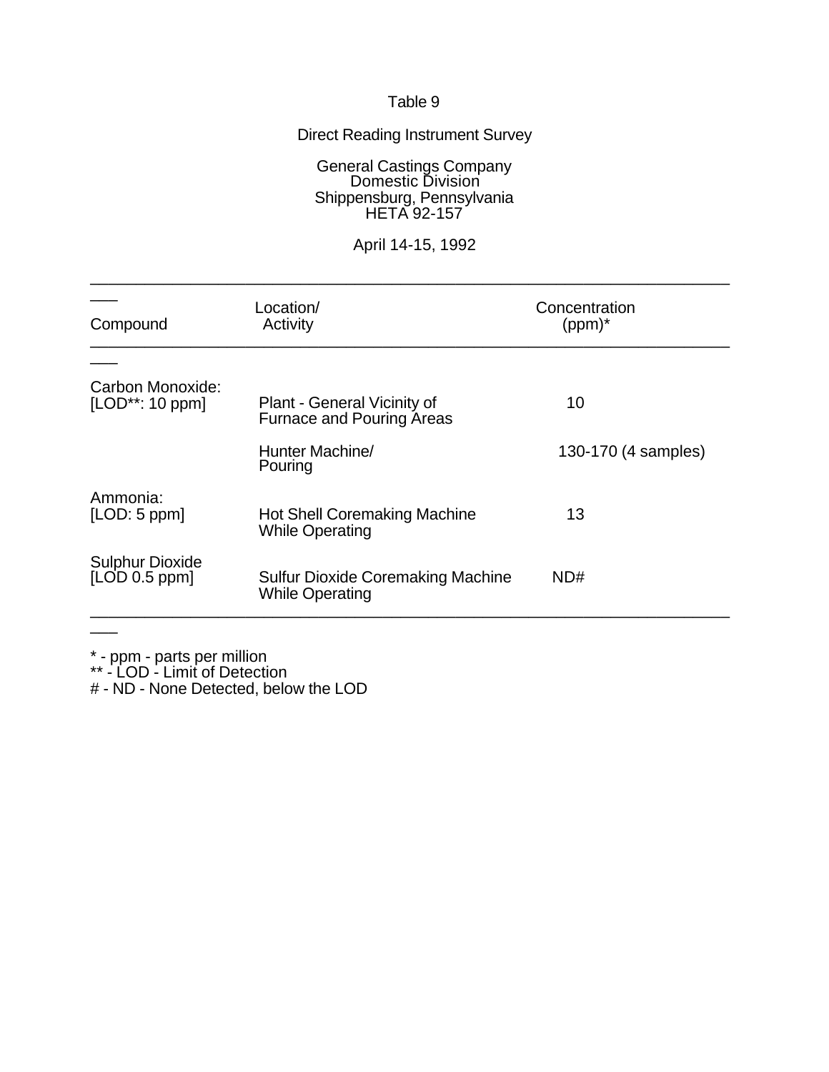# Direct Reading Instrument Survey

### General Castings Company Domestic Division Shippensburg, Pennsylvania HETA 92-157

# April 14-15, 1992

\_\_\_\_\_\_\_\_\_\_\_\_\_\_\_\_\_\_\_\_\_\_\_\_\_\_\_\_\_\_\_\_\_\_\_\_\_\_\_\_\_\_\_\_\_\_\_\_\_\_\_\_\_\_\_\_\_\_\_\_\_\_\_\_\_\_\_\_\_\_

| Compound                                | Location/<br>Activity                                              | Concentration<br>$(ppm)^*$ |
|-----------------------------------------|--------------------------------------------------------------------|----------------------------|
|                                         |                                                                    |                            |
| Carbon Monoxide:<br>$[LOD**: 10 ppm]$   | Plant - General Vicinity of<br><b>Furnace and Pouring Areas</b>    | 10                         |
|                                         | Hunter Machine/<br>Pouring                                         | 130-170 (4 samples)        |
| Ammonia:<br>[LOD: 5 ppm]                | <b>Hot Shell Coremaking Machine</b><br><b>While Operating</b>      | 13                         |
| <b>Sulphur Dioxide</b><br>[LOD 0.5 ppm] | <b>Sulfur Dioxide Coremaking Machine</b><br><b>While Operating</b> | ND#                        |
|                                         |                                                                    |                            |

\* - ppm - parts per million

\*\* - LOD - Limit of Detection

# - ND - None Detected, below the LOD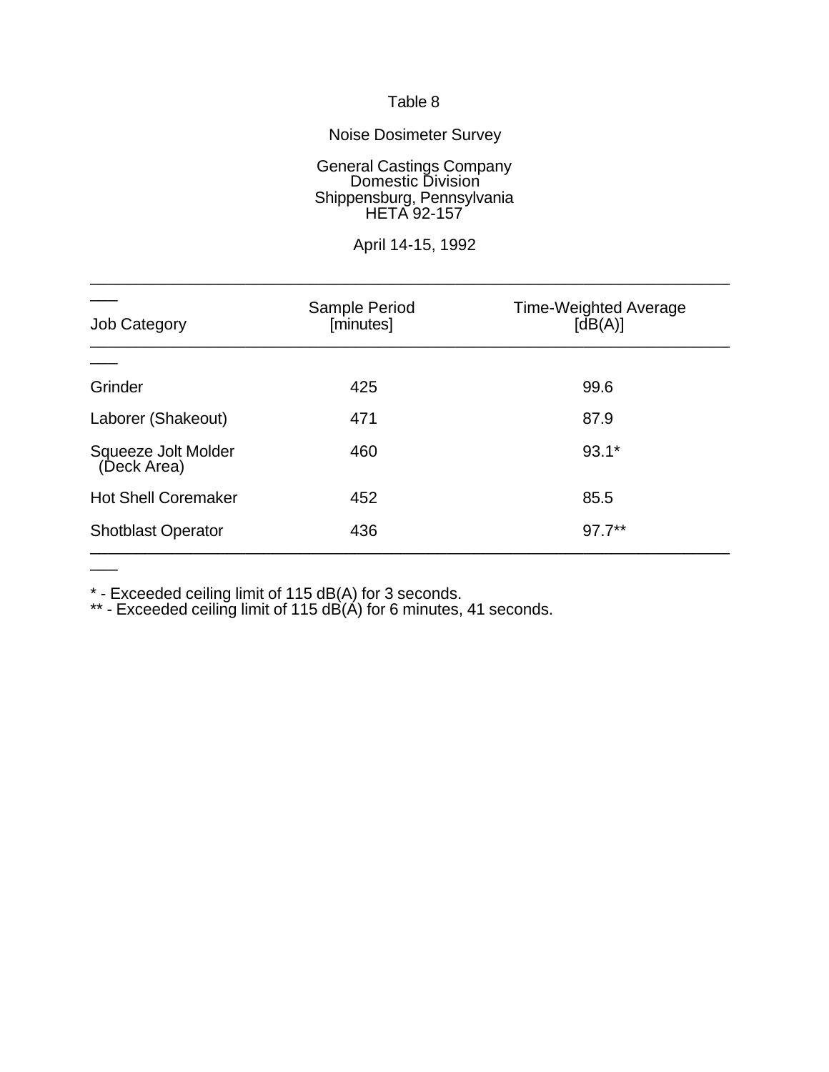# Noise Dosimeter Survey

General Castings Company Domestic Division Shippensburg, Pennsylvania HETA 92-157

April 14-15, 1992

\_\_\_\_\_\_\_\_\_\_\_\_\_\_\_\_\_\_\_\_\_\_\_\_\_\_\_\_\_\_\_\_\_\_\_\_\_\_\_\_\_\_\_\_\_\_\_\_\_\_\_\_\_\_\_\_\_\_\_\_\_\_\_\_\_\_\_\_\_\_

| <b>Job Category</b>                | Sample Period<br>[minutes] | <b>Time-Weighted Average</b><br>[dB(A)] |
|------------------------------------|----------------------------|-----------------------------------------|
|                                    |                            |                                         |
| Grinder                            | 425                        | 99.6                                    |
| Laborer (Shakeout)                 | 471                        | 87.9                                    |
| Squeeze Jolt Molder<br>(Deck Area) | 460                        | $93.1*$                                 |
| <b>Hot Shell Coremaker</b>         | 452                        | 85.5                                    |
| <b>Shotblast Operator</b>          | 436                        | $97.7***$                               |

\* - Exceeded ceiling limit of 115 dB(A) for 3 seconds.

 $\overline{\phantom{a}}$ 

\*\* - Exceeded ceiling limit of 115 dB(A) for 6 minutes, 41 seconds.